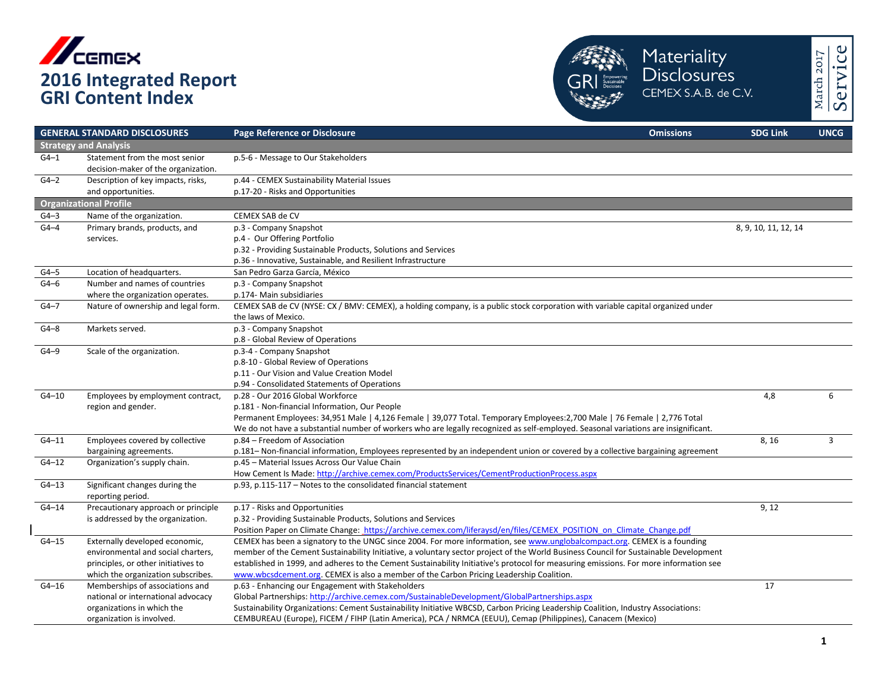



|           | <b>GENERAL STANDARD DISCLOSURES</b>                                   | <b>Page Reference or Disclosure</b><br><b>Omissions</b>                                                                               | <b>SDG Link</b>      | <b>UNCG</b> |
|-----------|-----------------------------------------------------------------------|---------------------------------------------------------------------------------------------------------------------------------------|----------------------|-------------|
|           | <b>Strategy and Analysis</b>                                          |                                                                                                                                       |                      |             |
| $G4-1$    | Statement from the most senior<br>decision-maker of the organization. | p.5-6 - Message to Our Stakeholders                                                                                                   |                      |             |
| $G4-2$    | Description of key impacts, risks,                                    | p.44 - CEMEX Sustainability Material Issues                                                                                           |                      |             |
|           | and opportunities.                                                    | p.17-20 - Risks and Opportunities                                                                                                     |                      |             |
|           | <b>Organizational Profile</b>                                         |                                                                                                                                       |                      |             |
| $G4-3$    | Name of the organization.                                             | CEMEX SAB de CV                                                                                                                       |                      |             |
| $G4-4$    | Primary brands, products, and                                         | p.3 - Company Snapshot                                                                                                                | 8, 9, 10, 11, 12, 14 |             |
|           | services.                                                             | p.4 - Our Offering Portfolio                                                                                                          |                      |             |
|           |                                                                       | p.32 - Providing Sustainable Products, Solutions and Services                                                                         |                      |             |
|           |                                                                       | p.36 - Innovative, Sustainable, and Resilient Infrastructure                                                                          |                      |             |
| $G4-5$    | Location of headquarters.                                             | San Pedro Garza García, México                                                                                                        |                      |             |
| $G4-6$    | Number and names of countries                                         | p.3 - Company Snapshot                                                                                                                |                      |             |
|           | where the organization operates.                                      | p.174- Main subsidiaries                                                                                                              |                      |             |
| $G4-7$    | Nature of ownership and legal form.                                   | CEMEX SAB de CV (NYSE: CX / BMV: CEMEX), a holding company, is a public stock corporation with variable capital organized under       |                      |             |
|           |                                                                       | the laws of Mexico.                                                                                                                   |                      |             |
| $G4-8$    | Markets served.                                                       | p.3 - Company Snapshot                                                                                                                |                      |             |
|           |                                                                       | p.8 - Global Review of Operations                                                                                                     |                      |             |
| $G4-9$    | Scale of the organization.                                            | p.3-4 - Company Snapshot                                                                                                              |                      |             |
|           |                                                                       | p.8-10 - Global Review of Operations                                                                                                  |                      |             |
|           |                                                                       | p.11 - Our Vision and Value Creation Model                                                                                            |                      |             |
|           |                                                                       | p.94 - Consolidated Statements of Operations                                                                                          |                      |             |
| $G4 - 10$ | Employees by employment contract,                                     | p.28 - Our 2016 Global Workforce                                                                                                      | 4,8                  | 6           |
|           | region and gender.                                                    | p.181 - Non-financial Information, Our People                                                                                         |                      |             |
|           |                                                                       | Permanent Employees: 34,951 Male   4,126 Female   39,077 Total. Temporary Employees: 2,700 Male   76 Female   2,776 Total             |                      |             |
|           |                                                                       | We do not have a substantial number of workers who are legally recognized as self-employed. Seasonal variations are insignificant.    |                      |             |
| $G4 - 11$ | Employees covered by collective                                       | p.84 - Freedom of Association                                                                                                         | 8,16                 | 3           |
|           | bargaining agreements.                                                | p.181- Non-financial information, Employees represented by an independent union or covered by a collective bargaining agreement       |                      |             |
| $G4 - 12$ | Organization's supply chain.                                          | p.45 - Material Issues Across Our Value Chain                                                                                         |                      |             |
|           |                                                                       | How Cement Is Made: http://archive.cemex.com/ProductsServices/CementProductionProcess.aspx                                            |                      |             |
| $G4 - 13$ | Significant changes during the<br>reporting period.                   | p.93, p.115-117 - Notes to the consolidated financial statement                                                                       |                      |             |
| $G4 - 14$ | Precautionary approach or principle                                   | p.17 - Risks and Opportunities                                                                                                        | 9, 12                |             |
|           | is addressed by the organization.                                     | p.32 - Providing Sustainable Products, Solutions and Services                                                                         |                      |             |
|           |                                                                       | Position Paper on Climate Change: https://archive.cemex.com/liferaysd/en/files/CEMEX POSITION on Climate Change.pdf                   |                      |             |
| $G4 - 15$ | Externally developed economic,                                        | CEMEX has been a signatory to the UNGC since 2004. For more information, see www.unglobalcompact.org. CEMEX is a founding             |                      |             |
|           | environmental and social charters,                                    | member of the Cement Sustainability Initiative, a voluntary sector project of the World Business Council for Sustainable Development  |                      |             |
|           | principles, or other initiatives to                                   | established in 1999, and adheres to the Cement Sustainability Initiative's protocol for measuring emissions. For more information see |                      |             |
|           | which the organization subscribes.                                    | www.wbcsdcement.org. CEMEX is also a member of the Carbon Pricing Leadership Coalition.                                               |                      |             |
| G4-16     | Memberships of associations and                                       | p.63 - Enhancing our Engagement with Stakeholders                                                                                     | 17                   |             |
|           | national or international advocacy                                    | Global Partnerships: http://archive.cemex.com/SustainableDevelopment/GlobalPartnerships.aspx                                          |                      |             |
|           | organizations in which the                                            | Sustainability Organizations: Cement Sustainability Initiative WBCSD, Carbon Pricing Leadership Coalition, Industry Associations:     |                      |             |
|           | organization is involved.                                             | CEMBUREAU (Europe), FICEM / FIHP (Latin America), PCA / NRMCA (EEUU), Cemap (Philippines), Canacem (Mexico)                           |                      |             |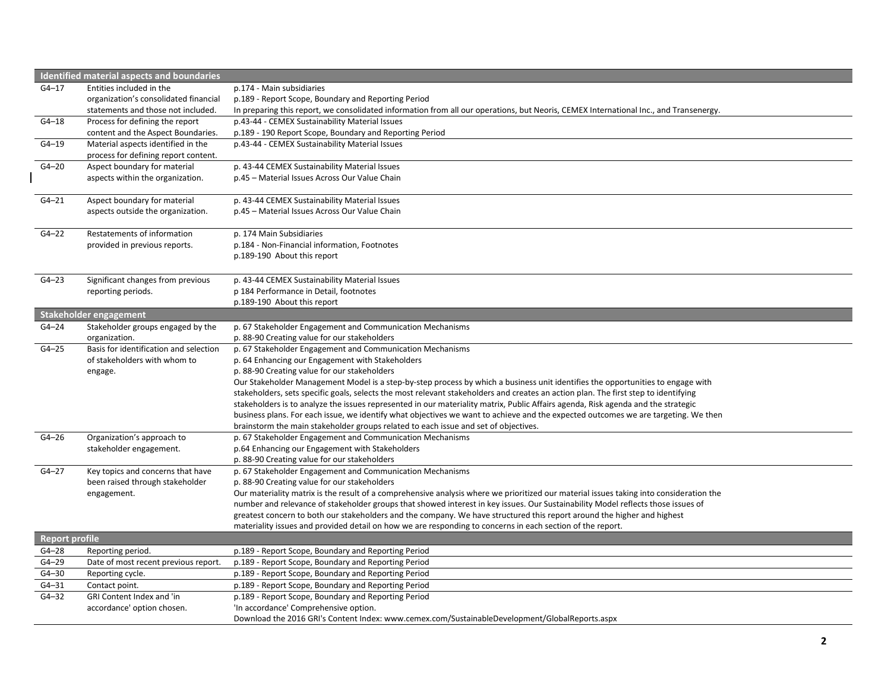|                       | <b>Identified material aspects and boundaries</b>                          |                                                                                                                                         |
|-----------------------|----------------------------------------------------------------------------|-----------------------------------------------------------------------------------------------------------------------------------------|
| $G4 - 17$             | Entities included in the                                                   | p.174 - Main subsidiaries                                                                                                               |
|                       | organization's consolidated financial                                      | p.189 - Report Scope, Boundary and Reporting Period                                                                                     |
|                       | statements and those not included.                                         | In preparing this report, we consolidated information from all our operations, but Neoris, CEMEX International Inc., and Transenergy.   |
| $G4 - 18$             | Process for defining the report                                            | p.43-44 - CEMEX Sustainability Material Issues                                                                                          |
|                       | content and the Aspect Boundaries.                                         | p.189 - 190 Report Scope, Boundary and Reporting Period                                                                                 |
| $G4 - 19$             | Material aspects identified in the<br>process for defining report content. | p.43-44 - CEMEX Sustainability Material Issues                                                                                          |
| $G4 - 20$             | Aspect boundary for material                                               | p. 43-44 CEMEX Sustainability Material Issues                                                                                           |
|                       | aspects within the organization.                                           | p.45 - Material Issues Across Our Value Chain                                                                                           |
| $G4 - 21$             | Aspect boundary for material                                               | p. 43-44 CEMEX Sustainability Material Issues                                                                                           |
|                       | aspects outside the organization.                                          | p.45 - Material Issues Across Our Value Chain                                                                                           |
| $G4 - 22$             | Restatements of information                                                | p. 174 Main Subsidiaries                                                                                                                |
|                       | provided in previous reports.                                              | p.184 - Non-Financial information, Footnotes                                                                                            |
|                       |                                                                            | p.189-190 About this report                                                                                                             |
| $G4 - 23$             | Significant changes from previous                                          | p. 43-44 CEMEX Sustainability Material Issues                                                                                           |
|                       | reporting periods.                                                         | p 184 Performance in Detail, footnotes                                                                                                  |
|                       |                                                                            | p.189-190 About this report                                                                                                             |
|                       | Stakeholder engagement                                                     |                                                                                                                                         |
| $G4 - 24$             | Stakeholder groups engaged by the                                          | p. 67 Stakeholder Engagement and Communication Mechanisms                                                                               |
|                       | organization.                                                              | p. 88-90 Creating value for our stakeholders                                                                                            |
| $G4 - 25$             | Basis for identification and selection                                     | p. 67 Stakeholder Engagement and Communication Mechanisms                                                                               |
|                       | of stakeholders with whom to                                               | p. 64 Enhancing our Engagement with Stakeholders                                                                                        |
|                       | engage.                                                                    | p. 88-90 Creating value for our stakeholders                                                                                            |
|                       |                                                                            | Our Stakeholder Management Model is a step-by-step process by which a business unit identifies the opportunities to engage with         |
|                       |                                                                            | stakeholders, sets specific goals, selects the most relevant stakeholders and creates an action plan. The first step to identifying     |
|                       |                                                                            | stakeholders is to analyze the issues represented in our materiality matrix, Public Affairs agenda, Risk agenda and the strategic       |
|                       |                                                                            | business plans. For each issue, we identify what objectives we want to achieve and the expected outcomes we are targeting. We then      |
|                       |                                                                            | brainstorm the main stakeholder groups related to each issue and set of objectives.                                                     |
| $G4-26$               | Organization's approach to                                                 | p. 67 Stakeholder Engagement and Communication Mechanisms                                                                               |
|                       | stakeholder engagement.                                                    | p.64 Enhancing our Engagement with Stakeholders                                                                                         |
|                       |                                                                            | p. 88-90 Creating value for our stakeholders                                                                                            |
| $G4 - 27$             | Key topics and concerns that have                                          | p. 67 Stakeholder Engagement and Communication Mechanisms                                                                               |
|                       | been raised through stakeholder                                            | p. 88-90 Creating value for our stakeholders                                                                                            |
|                       | engagement.                                                                | Our materiality matrix is the result of a comprehensive analysis where we prioritized our material issues taking into consideration the |
|                       |                                                                            | number and relevance of stakeholder groups that showed interest in key issues. Our Sustainability Model reflects those issues of        |
|                       |                                                                            | greatest concern to both our stakeholders and the company. We have structured this report around the higher and highest                 |
|                       |                                                                            | materiality issues and provided detail on how we are responding to concerns in each section of the report.                              |
| <b>Report profile</b> |                                                                            |                                                                                                                                         |
| $G4 - 28$             | Reporting period.                                                          | p.189 - Report Scope, Boundary and Reporting Period                                                                                     |
| $G4 - 29$             | Date of most recent previous report.                                       | p.189 - Report Scope, Boundary and Reporting Period                                                                                     |
| $G4 - 30$             | Reporting cycle.                                                           | p.189 - Report Scope, Boundary and Reporting Period                                                                                     |
| $G4 - 31$             | Contact point.                                                             | p.189 - Report Scope, Boundary and Reporting Period                                                                                     |
| $G4 - 32$             | GRI Content Index and 'in                                                  | p.189 - Report Scope, Boundary and Reporting Period                                                                                     |
|                       | accordance' option chosen.                                                 | 'In accordance' Comprehensive option.                                                                                                   |
|                       |                                                                            | Download the 2016 GRI's Content Index: www.cemex.com/SustainableDevelopment/GlobalReports.aspx                                          |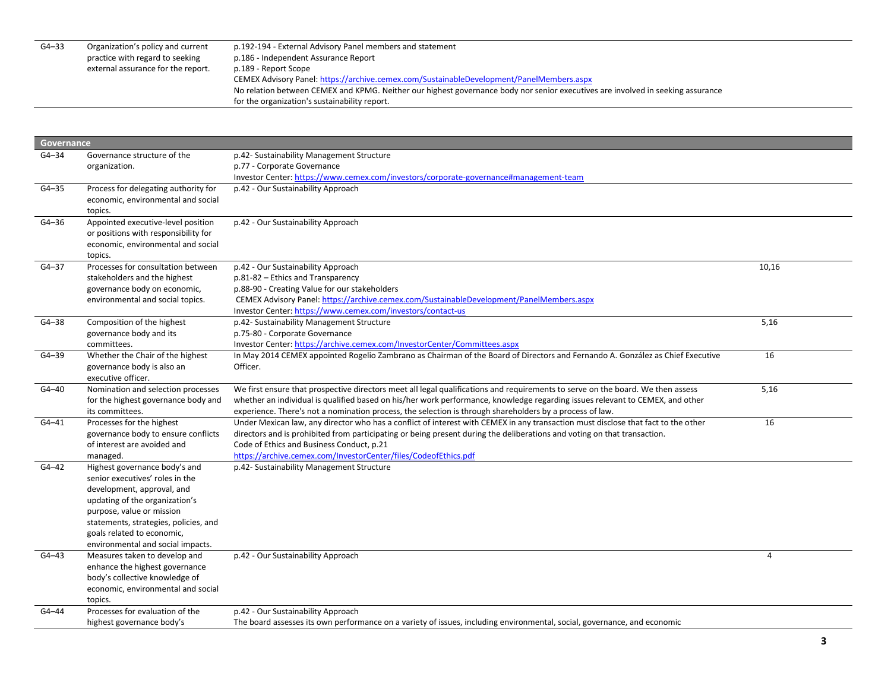| $G4 - 33$ | Organization's policy and current  | p.192-194 - External Advisory Panel members and statement                                                                       |
|-----------|------------------------------------|---------------------------------------------------------------------------------------------------------------------------------|
|           | practice with regard to seeking    | p.186 - Independent Assurance Report                                                                                            |
|           | external assurance for the report. | p.189 - Report Scope                                                                                                            |
|           |                                    | CEMEX Advisory Panel: https://archive.cemex.com/SustainableDevelopment/PanelMembers.aspx                                        |
|           |                                    | No relation between CEMEX and KPMG. Neither our highest governance body nor senior executives are involved in seeking assurance |
|           |                                    | for the organization's sustainability report.                                                                                   |

|           | Governance                            |                                                                                                                                   |                |  |
|-----------|---------------------------------------|-----------------------------------------------------------------------------------------------------------------------------------|----------------|--|
| $G4 - 34$ | Governance structure of the           | p.42- Sustainability Management Structure                                                                                         |                |  |
|           | organization.                         | p.77 - Corporate Governance                                                                                                       |                |  |
|           |                                       | Investor Center: https://www.cemex.com/investors/corporate-governance#management-team                                             |                |  |
| $G4 - 35$ | Process for delegating authority for  | p.42 - Our Sustainability Approach                                                                                                |                |  |
|           | economic, environmental and social    |                                                                                                                                   |                |  |
|           | topics.                               |                                                                                                                                   |                |  |
| $G4 - 36$ | Appointed executive-level position    | p.42 - Our Sustainability Approach                                                                                                |                |  |
|           | or positions with responsibility for  |                                                                                                                                   |                |  |
|           | economic, environmental and social    |                                                                                                                                   |                |  |
|           | topics.                               |                                                                                                                                   |                |  |
| $G4 - 37$ | Processes for consultation between    | p.42 - Our Sustainability Approach                                                                                                | 10,16          |  |
|           | stakeholders and the highest          | p.81-82 - Ethics and Transparency                                                                                                 |                |  |
|           | governance body on economic,          | p.88-90 - Creating Value for our stakeholders                                                                                     |                |  |
|           | environmental and social topics.      | CEMEX Advisory Panel: https://archive.cemex.com/SustainableDevelopment/PanelMembers.aspx                                          |                |  |
|           |                                       | Investor Center: https://www.cemex.com/investors/contact-us                                                                       |                |  |
| $G4 - 38$ | Composition of the highest            | p.42- Sustainability Management Structure                                                                                         | 5,16           |  |
|           | governance body and its               | p.75-80 - Corporate Governance                                                                                                    |                |  |
|           | committees.                           | Investor Center: https://archive.cemex.com/InvestorCenter/Committees.aspx                                                         |                |  |
| $G4 - 39$ | Whether the Chair of the highest      | In May 2014 CEMEX appointed Rogelio Zambrano as Chairman of the Board of Directors and Fernando A. González as Chief Executive    | 16             |  |
|           | governance body is also an            | Officer.                                                                                                                          |                |  |
|           | executive officer.                    |                                                                                                                                   |                |  |
| $G4 - 40$ | Nomination and selection processes    | We first ensure that prospective directors meet all legal qualifications and requirements to serve on the board. We then assess   | 5,16           |  |
|           | for the highest governance body and   | whether an individual is qualified based on his/her work performance, knowledge regarding issues relevant to CEMEX, and other     |                |  |
|           | its committees.                       | experience. There's not a nomination process, the selection is through shareholders by a process of law.                          |                |  |
| $G4 - 41$ | Processes for the highest             | Under Mexican law, any director who has a conflict of interest with CEMEX in any transaction must disclose that fact to the other | 16             |  |
|           | governance body to ensure conflicts   | directors and is prohibited from participating or being present during the deliberations and voting on that transaction.          |                |  |
|           | of interest are avoided and           | Code of Ethics and Business Conduct, p.21                                                                                         |                |  |
|           | managed.                              | https://archive.cemex.com/InvestorCenter/files/CodeofEthics.pdf                                                                   |                |  |
| $G4 - 42$ | Highest governance body's and         | p.42- Sustainability Management Structure                                                                                         |                |  |
|           | senior executives' roles in the       |                                                                                                                                   |                |  |
|           | development, approval, and            |                                                                                                                                   |                |  |
|           | updating of the organization's        |                                                                                                                                   |                |  |
|           | purpose, value or mission             |                                                                                                                                   |                |  |
|           | statements, strategies, policies, and |                                                                                                                                   |                |  |
|           | goals related to economic,            |                                                                                                                                   |                |  |
|           | environmental and social impacts.     |                                                                                                                                   |                |  |
| $G4 - 43$ | Measures taken to develop and         | p.42 - Our Sustainability Approach                                                                                                | $\overline{4}$ |  |
|           | enhance the highest governance        |                                                                                                                                   |                |  |
|           | body's collective knowledge of        |                                                                                                                                   |                |  |
|           | economic, environmental and social    |                                                                                                                                   |                |  |
|           | topics.                               |                                                                                                                                   |                |  |
| G4-44     | Processes for evaluation of the       | p.42 - Our Sustainability Approach                                                                                                |                |  |
|           | highest governance body's             | The board assesses its own performance on a variety of issues, including environmental, social, governance, and economic          |                |  |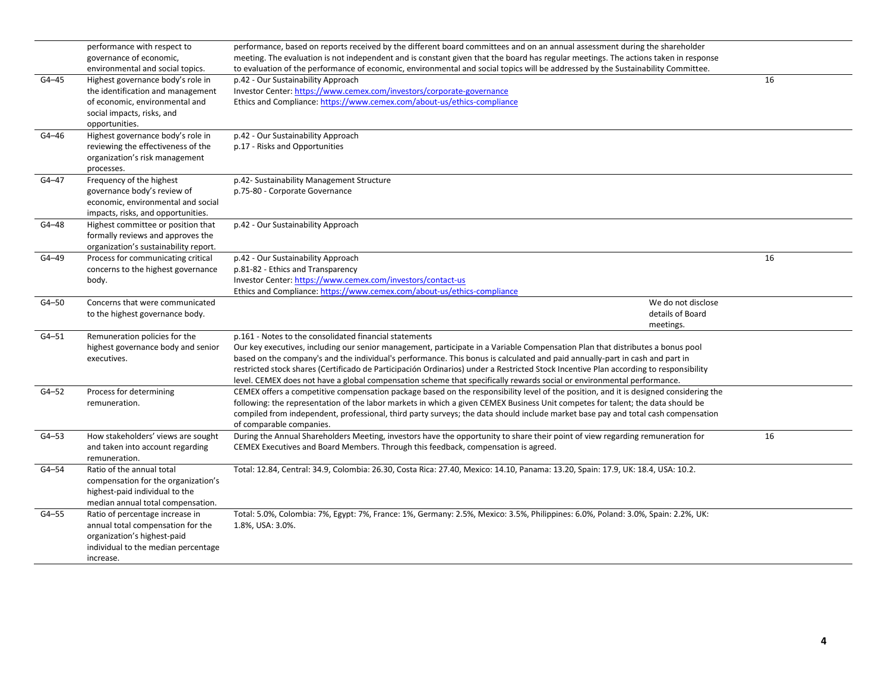|           | performance with respect to           | performance, based on reports received by the different board committees and on an annual assessment during the shareholder           |    |
|-----------|---------------------------------------|---------------------------------------------------------------------------------------------------------------------------------------|----|
|           | governance of economic,               | meeting. The evaluation is not independent and is constant given that the board has regular meetings. The actions taken in response   |    |
|           | environmental and social topics.      | to evaluation of the performance of economic, environmental and social topics will be addressed by the Sustainability Committee.      |    |
| $G4 - 45$ | Highest governance body's role in     | p.42 - Our Sustainability Approach                                                                                                    | 16 |
|           | the identification and management     | Investor Center: https://www.cemex.com/investors/corporate-governance                                                                 |    |
|           | of economic, environmental and        | Ethics and Compliance: https://www.cemex.com/about-us/ethics-compliance                                                               |    |
|           | social impacts, risks, and            |                                                                                                                                       |    |
|           | opportunities.                        |                                                                                                                                       |    |
| G4-46     | Highest governance body's role in     | p.42 - Our Sustainability Approach                                                                                                    |    |
|           | reviewing the effectiveness of the    | p.17 - Risks and Opportunities                                                                                                        |    |
|           | organization's risk management        |                                                                                                                                       |    |
|           | processes.                            |                                                                                                                                       |    |
| $G4 - 47$ | Frequency of the highest              | p.42- Sustainability Management Structure                                                                                             |    |
|           | governance body's review of           | p.75-80 - Corporate Governance                                                                                                        |    |
|           | economic, environmental and social    |                                                                                                                                       |    |
|           | impacts, risks, and opportunities.    |                                                                                                                                       |    |
|           |                                       |                                                                                                                                       |    |
| $G4 - 48$ | Highest committee or position that    | p.42 - Our Sustainability Approach                                                                                                    |    |
|           | formally reviews and approves the     |                                                                                                                                       |    |
|           | organization's sustainability report. |                                                                                                                                       |    |
| G4-49     | Process for communicating critical    | p.42 - Our Sustainability Approach                                                                                                    | 16 |
|           | concerns to the highest governance    | p.81-82 - Ethics and Transparency                                                                                                     |    |
|           | body.                                 | Investor Center: https://www.cemex.com/investors/contact-us                                                                           |    |
|           |                                       | Ethics and Compliance: https://www.cemex.com/about-us/ethics-compliance                                                               |    |
| $G4 - 50$ | Concerns that were communicated       | We do not disclose                                                                                                                    |    |
|           | to the highest governance body.       | details of Board                                                                                                                      |    |
|           |                                       | meetings.                                                                                                                             |    |
| $G4 - 51$ | Remuneration policies for the         | p.161 - Notes to the consolidated financial statements                                                                                |    |
|           | highest governance body and senior    | Our key executives, including our senior management, participate in a Variable Compensation Plan that distributes a bonus pool        |    |
|           | executives.                           | based on the company's and the individual's performance. This bonus is calculated and paid annually-part in cash and part in          |    |
|           |                                       | restricted stock shares (Certificado de Participación Ordinarios) under a Restricted Stock Incentive Plan according to responsibility |    |
|           |                                       | level. CEMEX does not have a global compensation scheme that specifically rewards social or environmental performance.                |    |
| $G4 - 52$ | Process for determining               | CEMEX offers a competitive compensation package based on the responsibility level of the position, and it is designed considering the |    |
|           | remuneration.                         | following: the representation of the labor markets in which a given CEMEX Business Unit competes for talent; the data should be       |    |
|           |                                       | compiled from independent, professional, third party surveys; the data should include market base pay and total cash compensation     |    |
|           |                                       | of comparable companies.                                                                                                              |    |
| $G4 - 53$ | How stakeholders' views are sought    | During the Annual Shareholders Meeting, investors have the opportunity to share their point of view regarding remuneration for        | 16 |
|           | and taken into account regarding      | CEMEX Executives and Board Members. Through this feedback, compensation is agreed.                                                    |    |
|           | remuneration.                         |                                                                                                                                       |    |
| $G4 - 54$ | Ratio of the annual total             | Total: 12.84, Central: 34.9, Colombia: 26.30, Costa Rica: 27.40, Mexico: 14.10, Panama: 13.20, Spain: 17.9, UK: 18.4, USA: 10.2.      |    |
|           | compensation for the organization's   |                                                                                                                                       |    |
|           | highest-paid individual to the        |                                                                                                                                       |    |
|           | median annual total compensation.     |                                                                                                                                       |    |
| $G4 - 55$ | Ratio of percentage increase in       | Total: 5.0%, Colombia: 7%, Egypt: 7%, France: 1%, Germany: 2.5%, Mexico: 3.5%, Philippines: 6.0%, Poland: 3.0%, Spain: 2.2%, UK:      |    |
|           | annual total compensation for the     | 1.8%, USA: 3.0%.                                                                                                                      |    |
|           | organization's highest-paid           |                                                                                                                                       |    |
|           | individual to the median percentage   |                                                                                                                                       |    |
|           | increase.                             |                                                                                                                                       |    |
|           |                                       |                                                                                                                                       |    |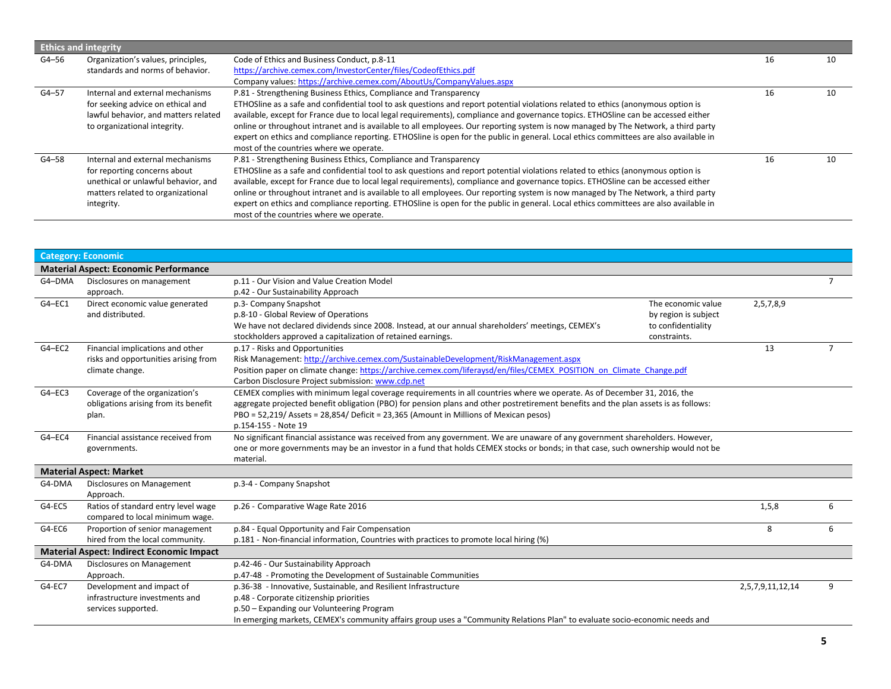|           | <b>Ethics and integrity</b>                                                                                                                                |                                                                                                                                                                                                                                                                                                                                                                                                                                                                                                                                                                                                                                                                       |    |    |
|-----------|------------------------------------------------------------------------------------------------------------------------------------------------------------|-----------------------------------------------------------------------------------------------------------------------------------------------------------------------------------------------------------------------------------------------------------------------------------------------------------------------------------------------------------------------------------------------------------------------------------------------------------------------------------------------------------------------------------------------------------------------------------------------------------------------------------------------------------------------|----|----|
| G4-56     | Organization's values, principles,<br>standards and norms of behavior.                                                                                     | Code of Ethics and Business Conduct, p.8-11<br>https://archive.cemex.com/InvestorCenter/files/CodeofEthics.pdf<br>Company values: https://archive.cemex.com/AboutUs/CompanyValues.aspx                                                                                                                                                                                                                                                                                                                                                                                                                                                                                | 16 | 10 |
| $G4 - 57$ | Internal and external mechanisms<br>for seeking advice on ethical and<br>lawful behavior, and matters related<br>to organizational integrity.              | P.81 - Strengthening Business Ethics, Compliance and Transparency<br>ETHOSline as a safe and confidential tool to ask questions and report potential violations related to ethics (anonymous option is<br>available, except for France due to local legal requirements), compliance and governance topics. ETHOSline can be accessed either<br>online or throughout intranet and is available to all employees. Our reporting system is now managed by The Network, a third party<br>expert on ethics and compliance reporting. ETHOSline is open for the public in general. Local ethics committees are also available in<br>most of the countries where we operate. | 16 | 10 |
| G4-58     | Internal and external mechanisms<br>for reporting concerns about<br>unethical or unlawful behavior, and<br>matters related to organizational<br>integrity. | P.81 - Strengthening Business Ethics, Compliance and Transparency<br>ETHOSline as a safe and confidential tool to ask questions and report potential violations related to ethics (anonymous option is<br>available, except for France due to local legal requirements), compliance and governance topics. ETHOSline can be accessed either<br>online or throughout intranet and is available to all employees. Our reporting system is now managed by The Network, a third party<br>expert on ethics and compliance reporting. ETHOSline is open for the public in general. Local ethics committees are also available in<br>most of the countries where we operate. | 16 | 10 |

|            | <b>Category: Economic</b>                                                                   |                                                                                                                                                                                                                                                                                                                                                                                |                  |                |
|------------|---------------------------------------------------------------------------------------------|--------------------------------------------------------------------------------------------------------------------------------------------------------------------------------------------------------------------------------------------------------------------------------------------------------------------------------------------------------------------------------|------------------|----------------|
|            | <b>Material Aspect: Economic Performance</b>                                                |                                                                                                                                                                                                                                                                                                                                                                                |                  |                |
| G4-DMA     | Disclosures on management<br>approach.                                                      | p.11 - Our Vision and Value Creation Model<br>p.42 - Our Sustainability Approach                                                                                                                                                                                                                                                                                               |                  | $\overline{7}$ |
| G4-EC1     | Direct economic value generated<br>and distributed.                                         | p.3- Company Snapshot<br>The economic value<br>p.8-10 - Global Review of Operations<br>by region is subject<br>We have not declared dividends since 2008. Instead, at our annual shareholders' meetings, CEMEX's<br>to confidentiality<br>stockholders approved a capitalization of retained earnings.<br>constraints.                                                         | 2,5,7,8,9        |                |
| $G4 - EC2$ | Financial implications and other<br>risks and opportunities arising from<br>climate change. | p.17 - Risks and Opportunities<br>Risk Management: http://archive.cemex.com/SustainableDevelopment/RiskManagement.aspx<br>Position paper on climate change: https://archive.cemex.com/liferaysd/en/files/CEMEX_POSITION_on_Climate_Change.pdf<br>Carbon Disclosure Project submission: www.cdp.net                                                                             | 13               |                |
| $G4 - EC3$ | Coverage of the organization's<br>obligations arising from its benefit<br>plan.             | CEMEX complies with minimum legal coverage requirements in all countries where we operate. As of December 31, 2016, the<br>aggregate projected benefit obligation (PBO) for pension plans and other postretirement benefits and the plan assets is as follows:<br>PBO = 52,219/ Assets = 28,854/ Deficit = 23,365 (Amount in Millions of Mexican pesos)<br>p.154-155 - Note 19 |                  |                |
| G4-EC4     | Financial assistance received from<br>governments.                                          | No significant financial assistance was received from any government. We are unaware of any government shareholders. However,<br>one or more governments may be an investor in a fund that holds CEMEX stocks or bonds; in that case, such ownership would not be<br>material.                                                                                                 |                  |                |
|            | <b>Material Aspect: Market</b>                                                              |                                                                                                                                                                                                                                                                                                                                                                                |                  |                |
| G4-DMA     | Disclosures on Management<br>Approach.                                                      | p.3-4 - Company Snapshot                                                                                                                                                                                                                                                                                                                                                       |                  |                |
| G4-EC5     | Ratios of standard entry level wage<br>compared to local minimum wage.                      | p.26 - Comparative Wage Rate 2016                                                                                                                                                                                                                                                                                                                                              | 1,5,8            | 6              |
| G4-EC6     | Proportion of senior management<br>hired from the local community.                          | p.84 - Equal Opportunity and Fair Compensation<br>p.181 - Non-financial information, Countries with practices to promote local hiring (%)                                                                                                                                                                                                                                      | 8                | 6              |
|            | <b>Material Aspect: Indirect Economic Impact</b>                                            |                                                                                                                                                                                                                                                                                                                                                                                |                  |                |
| G4-DMA     | Disclosures on Management<br>Approach.                                                      | p.42-46 - Our Sustainability Approach<br>p.47-48 - Promoting the Development of Sustainable Communities                                                                                                                                                                                                                                                                        |                  |                |
| G4-EC7     | Development and impact of<br>infrastructure investments and<br>services supported.          | p.36-38 - Innovative, Sustainable, and Resilient Infrastructure<br>p.48 - Corporate citizenship priorities<br>p.50 - Expanding our Volunteering Program<br>In emerging markets, CEMEX's community affairs group uses a "Community Relations Plan" to evaluate socio-economic needs and                                                                                         | 2,5,7,9,11,12,14 | 9              |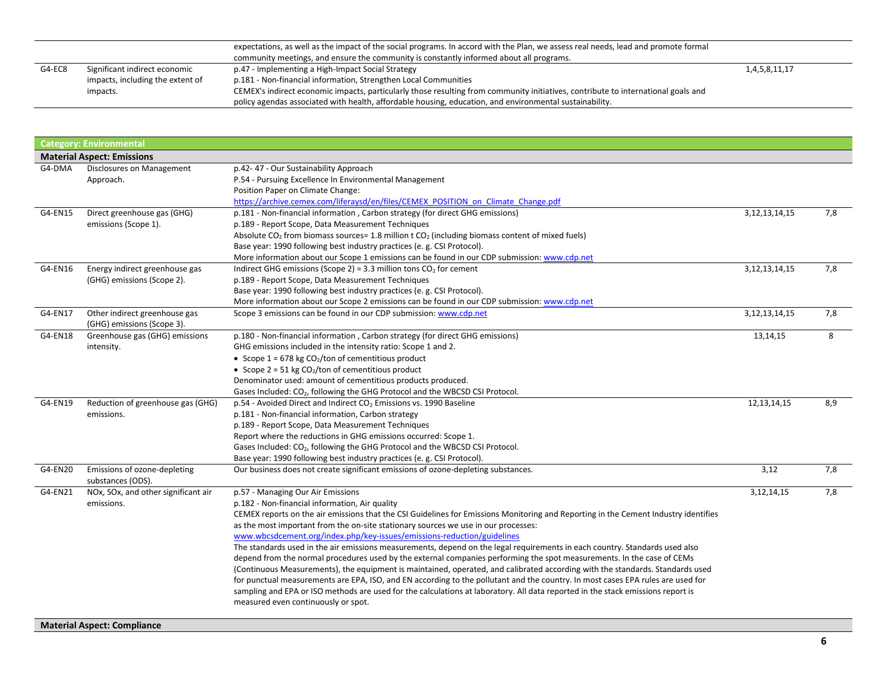|        | expectations, as well as the impact of the social programs. In accord with the Plan, we assess real needs, lead and promote formal |                                                                                                                                   |               |
|--------|------------------------------------------------------------------------------------------------------------------------------------|-----------------------------------------------------------------------------------------------------------------------------------|---------------|
|        |                                                                                                                                    | community meetings, and ensure the community is constantly informed about all programs.                                           |               |
| G4-EC8 | Significant indirect economic                                                                                                      | p.47 - Implementing a High-Impact Social Strategy                                                                                 | 1,4,5,8,11,17 |
|        | impacts, including the extent of                                                                                                   | p.181 - Non-financial information, Strengthen Local Communities                                                                   |               |
|        | impacts.                                                                                                                           | CEMEX's indirect economic impacts, particularly those resulting from community initiatives, contribute to international goals and |               |
|        |                                                                                                                                    | policy agendas associated with health, affordable housing, education, and environmental sustainability.                           |               |

|         | <b>Category: Environmental</b>                    |                                                                                                                                     |                   |     |
|---------|---------------------------------------------------|-------------------------------------------------------------------------------------------------------------------------------------|-------------------|-----|
|         | <b>Material Aspect: Emissions</b>                 |                                                                                                                                     |                   |     |
| G4-DMA  | Disclosures on Management                         | p.42-47 - Our Sustainability Approach                                                                                               |                   |     |
|         | Approach.                                         | P.54 - Pursuing Excellence In Environmental Management                                                                              |                   |     |
|         |                                                   | Position Paper on Climate Change:                                                                                                   |                   |     |
|         |                                                   | https://archive.cemex.com/liferaysd/en/files/CEMEX POSITION on Climate Change.pdf                                                   |                   |     |
| G4-EN15 | Direct greenhouse gas (GHG)                       | p.181 - Non-financial information, Carbon strategy (for direct GHG emissions)                                                       | 3, 12, 13, 14, 15 | 7,8 |
|         | emissions (Scope 1).                              | p.189 - Report Scope, Data Measurement Techniques                                                                                   |                   |     |
|         |                                                   | Absolute CO <sub>2</sub> from biomass sources= 1.8 million t CO <sub>2</sub> (including biomass content of mixed fuels)             |                   |     |
|         |                                                   | Base year: 1990 following best industry practices (e. g. CSI Protocol).                                                             |                   |     |
|         |                                                   | More information about our Scope 1 emissions can be found in our CDP submission: www.cdp.net                                        |                   |     |
| G4-EN16 | Energy indirect greenhouse gas                    | Indirect GHG emissions (Scope 2) = 3.3 million tons $CO2$ for cement                                                                | 3, 12, 13, 14, 15 | 7,8 |
|         | (GHG) emissions (Scope 2).                        | p.189 - Report Scope, Data Measurement Techniques                                                                                   |                   |     |
|         |                                                   | Base year: 1990 following best industry practices (e. g. CSI Protocol).                                                             |                   |     |
|         |                                                   | More information about our Scope 2 emissions can be found in our CDP submission: www.cdp.net                                        |                   |     |
| G4-EN17 | Other indirect greenhouse gas                     | Scope 3 emissions can be found in our CDP submission: www.cdp.net                                                                   | 3, 12, 13, 14, 15 | 7,8 |
|         | (GHG) emissions (Scope 3).                        |                                                                                                                                     |                   |     |
| G4-EN18 | Greenhouse gas (GHG) emissions                    | p.180 - Non-financial information, Carbon strategy (for direct GHG emissions)                                                       | 13, 14, 15        | 8   |
|         | intensity.                                        | GHG emissions included in the intensity ratio: Scope 1 and 2.                                                                       |                   |     |
|         |                                                   | • Scope $1 = 678$ kg CO <sub>2</sub> /ton of cementitious product                                                                   |                   |     |
|         |                                                   | • Scope $2 = 51$ kg CO <sub>2</sub> /ton of cementitious product                                                                    |                   |     |
|         |                                                   | Denominator used: amount of cementitious products produced.                                                                         |                   |     |
|         |                                                   | Gases Included: CO <sub>2</sub> , following the GHG Protocol and the WBCSD CSI Protocol.                                            |                   |     |
| G4-EN19 | Reduction of greenhouse gas (GHG)                 | p.54 - Avoided Direct and Indirect CO <sub>2</sub> Emissions vs. 1990 Baseline                                                      | 12, 13, 14, 15    | 8,9 |
|         | emissions.                                        | p.181 - Non-financial information, Carbon strategy                                                                                  |                   |     |
|         |                                                   | p.189 - Report Scope, Data Measurement Techniques                                                                                   |                   |     |
|         |                                                   | Report where the reductions in GHG emissions occurred: Scope 1.                                                                     |                   |     |
|         |                                                   | Gases Included: CO <sub>2</sub> , following the GHG Protocol and the WBCSD CSI Protocol.                                            |                   |     |
|         |                                                   | Base year: 1990 following best industry practices (e. g. CSI Protocol).                                                             |                   |     |
| G4-EN20 | Emissions of ozone-depleting<br>substances (ODS). | Our business does not create significant emissions of ozone-depleting substances.                                                   | 3,12              | 7,8 |
| G4-EN21 | NOx, SOx, and other significant air               | p.57 - Managing Our Air Emissions                                                                                                   | 3,12,14,15        | 7,8 |
|         | emissions.                                        | p.182 - Non-financial information, Air quality                                                                                      |                   |     |
|         |                                                   | CEMEX reports on the air emissions that the CSI Guidelines for Emissions Monitoring and Reporting in the Cement Industry identifies |                   |     |
|         |                                                   | as the most important from the on-site stationary sources we use in our processes:                                                  |                   |     |
|         |                                                   | www.wbcsdcement.org/index.php/key-issues/emissions-reduction/guidelines                                                             |                   |     |
|         |                                                   | The standards used in the air emissions measurements, depend on the legal requirements in each country. Standards used also         |                   |     |
|         |                                                   | depend from the normal procedures used by the external companies performing the spot measurements. In the case of CEMs              |                   |     |
|         |                                                   | (Continuous Measurements), the equipment is maintained, operated, and calibrated according with the standards. Standards used       |                   |     |
|         |                                                   | for punctual measurements are EPA, ISO, and EN according to the pollutant and the country. In most cases EPA rules are used for     |                   |     |
|         |                                                   | sampling and EPA or ISO methods are used for the calculations at laboratory. All data reported in the stack emissions report is     |                   |     |
|         |                                                   | measured even continuously or spot.                                                                                                 |                   |     |
|         |                                                   |                                                                                                                                     |                   |     |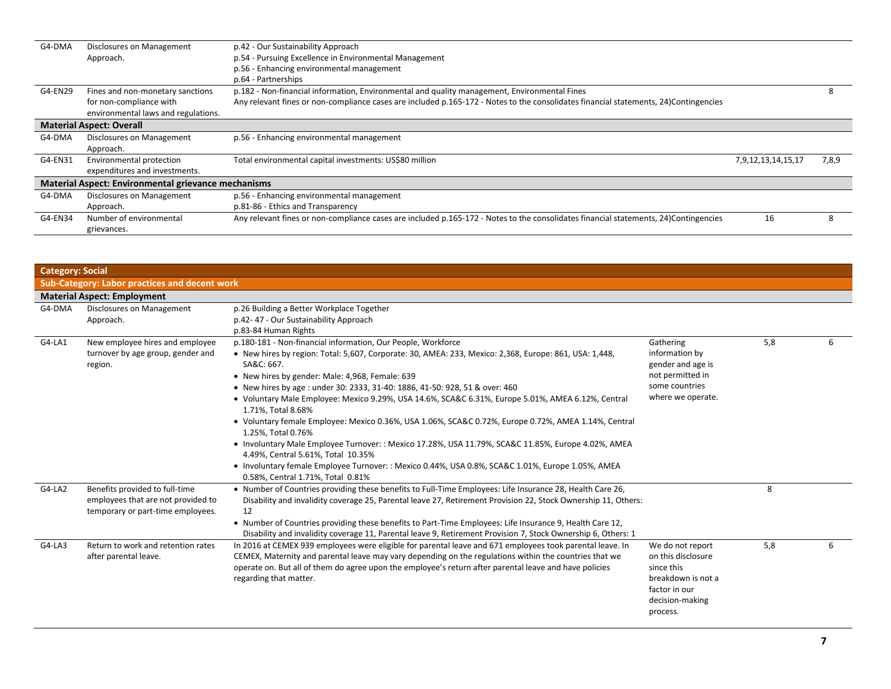| G4-DMA  | Disclosures on Management                                  | p.42 - Our Sustainability Approach                                                                                                   |                    |       |  |
|---------|------------------------------------------------------------|--------------------------------------------------------------------------------------------------------------------------------------|--------------------|-------|--|
|         | Approach.                                                  | p.54 - Pursuing Excellence in Environmental Management                                                                               |                    |       |  |
|         |                                                            | p.56 - Enhancing environmental management                                                                                            |                    |       |  |
|         |                                                            | p.64 - Partnerships                                                                                                                  |                    |       |  |
| G4-EN29 | Fines and non-monetary sanctions                           | p.182 - Non-financial information, Environmental and quality management, Environmental Fines                                         |                    |       |  |
|         | for non-compliance with                                    | Any relevant fines or non-compliance cases are included p.165-172 - Notes to the consolidates financial statements, 24)Contingencies |                    |       |  |
|         | environmental laws and regulations.                        |                                                                                                                                      |                    |       |  |
|         | <b>Material Aspect: Overall</b>                            |                                                                                                                                      |                    |       |  |
| G4-DMA  | Disclosures on Management                                  | p.56 - Enhancing environmental management                                                                                            |                    |       |  |
|         | Approach.                                                  |                                                                                                                                      |                    |       |  |
| G4-EN31 | Environmental protection                                   | Total environmental capital investments: US\$80 million                                                                              | 7,9,12,13,14,15,17 | 7,8,9 |  |
|         | expenditures and investments.                              |                                                                                                                                      |                    |       |  |
|         | <b>Material Aspect: Environmental grievance mechanisms</b> |                                                                                                                                      |                    |       |  |
| G4-DMA  | Disclosures on Management                                  | p.56 - Enhancing environmental management                                                                                            |                    |       |  |
|         | Approach.                                                  | p.81-86 - Ethics and Transparency                                                                                                    |                    |       |  |
| G4-EN34 | Number of environmental                                    | Any relevant fines or non-compliance cases are included p.165-172 - Notes to the consolidates financial statements, 24)Contingencies | 16                 |       |  |
|         | grievances.                                                |                                                                                                                                      |                    |       |  |

| <b>Category: Social</b> |                                                                                                           |                                                                                                                                                                                                                                                                                                                                                                                                                                                                                                                                                                                                                                                                                                                                                                                                                                                                         |                                                                                                                            |     |   |
|-------------------------|-----------------------------------------------------------------------------------------------------------|-------------------------------------------------------------------------------------------------------------------------------------------------------------------------------------------------------------------------------------------------------------------------------------------------------------------------------------------------------------------------------------------------------------------------------------------------------------------------------------------------------------------------------------------------------------------------------------------------------------------------------------------------------------------------------------------------------------------------------------------------------------------------------------------------------------------------------------------------------------------------|----------------------------------------------------------------------------------------------------------------------------|-----|---|
|                         | <b>Sub-Category: Labor practices and decent work</b>                                                      |                                                                                                                                                                                                                                                                                                                                                                                                                                                                                                                                                                                                                                                                                                                                                                                                                                                                         |                                                                                                                            |     |   |
|                         | <b>Material Aspect: Employment</b>                                                                        |                                                                                                                                                                                                                                                                                                                                                                                                                                                                                                                                                                                                                                                                                                                                                                                                                                                                         |                                                                                                                            |     |   |
| G4-DMA                  | Disclosures on Management<br>Approach.                                                                    | p.26 Building a Better Workplace Together<br>p.42-47 - Our Sustainability Approach<br>p.83-84 Human Rights                                                                                                                                                                                                                                                                                                                                                                                                                                                                                                                                                                                                                                                                                                                                                              |                                                                                                                            |     |   |
| G4-LA1                  | New employee hires and employee<br>turnover by age group, gender and<br>region.                           | p.180-181 - Non-financial information, Our People, Workforce<br>. New hires by region: Total: 5,607, Corporate: 30, AMEA: 233, Mexico: 2,368, Europe: 861, USA: 1,448,<br>SA&C: 667.<br>• New hires by gender: Male: 4,968, Female: 639<br>• New hires by age: under 30: 2333, 31-40: 1886, 41-50: 928, 51 & over: 460<br>• Voluntary Male Employee: Mexico 9.29%, USA 14.6%, SCA&C 6.31%, Europe 5.01%, AMEA 6.12%, Central<br>1.71%, Total 8.68%<br>• Voluntary female Employee: Mexico 0.36%, USA 1.06%, SCA&C 0.72%, Europe 0.72%, AMEA 1.14%, Central<br>1.25%, Total 0.76%<br>• Involuntary Male Employee Turnover: : Mexico 17.28%, USA 11.79%, SCA&C 11.85%, Europe 4.02%, AMEA<br>4.49%, Central 5.61%, Total 10.35%<br>• Involuntary female Employee Turnover: : Mexico 0.44%, USA 0.8%, SCA&C 1.01%, Europe 1.05%, AMEA<br>0.58%, Central 1.71%, Total 0.81% | Gathering<br>information by<br>gender and age is<br>not permitted in<br>some countries<br>where we operate.                | 5,8 | 6 |
| G4-LA2                  | Benefits provided to full-time<br>employees that are not provided to<br>temporary or part-time employees. | . Number of Countries providing these benefits to Full-Time Employees: Life Insurance 28, Health Care 26,<br>Disability and invalidity coverage 25, Parental leave 27, Retirement Provision 22, Stock Ownership 11, Others:<br>12<br>. Number of Countries providing these benefits to Part-Time Employees: Life Insurance 9, Health Care 12,<br>Disability and invalidity coverage 11, Parental leave 9, Retirement Provision 7, Stock Ownership 6, Others: 1                                                                                                                                                                                                                                                                                                                                                                                                          |                                                                                                                            | 8   |   |
| G4-LA3                  | Return to work and retention rates<br>after parental leave.                                               | In 2016 at CEMEX 939 employees were eligible for parental leave and 671 employees took parental leave. In<br>CEMEX, Maternity and parental leave may vary depending on the regulations within the countries that we<br>operate on. But all of them do agree upon the employee's return after parental leave and have policies<br>regarding that matter.                                                                                                                                                                                                                                                                                                                                                                                                                                                                                                                 | We do not report<br>on this disclosure<br>since this<br>breakdown is not a<br>factor in our<br>decision-making<br>process. | 5,8 | 6 |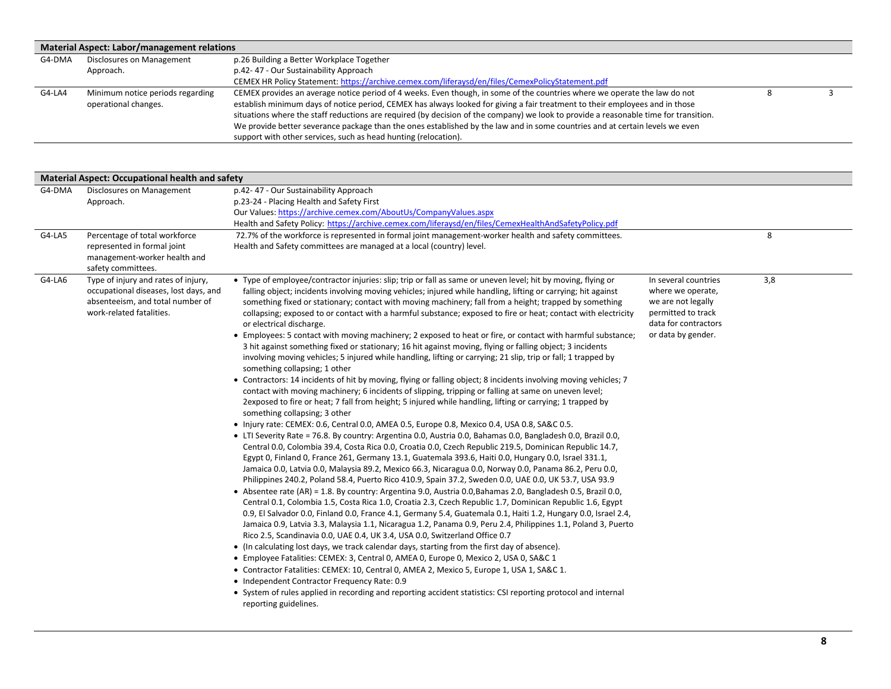|        | Material Aspect: Labor/management relations |                                                                                                                                      |  |  |
|--------|---------------------------------------------|--------------------------------------------------------------------------------------------------------------------------------------|--|--|
| G4-DMA | Disclosures on Management                   | p.26 Building a Better Workplace Together                                                                                            |  |  |
|        | Approach.                                   | p.42-47 - Our Sustainability Approach                                                                                                |  |  |
|        |                                             | CEMEX HR Policy Statement: https://archive.cemex.com/liferaysd/en/files/CemexPolicyStatement.pdf                                     |  |  |
| G4-LA4 | Minimum notice periods regarding            | CEMEX provides an average notice period of 4 weeks. Even though, in some of the countries where we operate the law do not            |  |  |
|        | operational changes.                        | establish minimum days of notice period, CEMEX has always looked for giving a fair treatment to their employees and in those         |  |  |
|        |                                             | situations where the staff reductions are required (by decision of the company) we look to provide a reasonable time for transition. |  |  |
|        |                                             | We provide better severance package than the ones established by the law and in some countries and at certain levels we even         |  |  |
|        |                                             | support with other services, such as head hunting (relocation).                                                                      |  |  |

|        | <b>Material Aspect: Occupational health and safety</b>                                                                                       |                                                                                                                                                                                                                                                                                                                                                                                                                                                                                                                                                                                                                                                                                                                                                                                                                                                                                                                                                                                                                                                                                                                                                                                                                                                                                                                                                                                                                                                                                                                                                                                                                                                                                                                                                                                                                                                                                                                                                                                                                                                                                                                                                                                                                                                                                                                                                                                                                                                                                                                                                                                                                                                                                                                                                                                                                                                                                                                                    |                                                                                                                                     |     |  |  |  |
|--------|----------------------------------------------------------------------------------------------------------------------------------------------|------------------------------------------------------------------------------------------------------------------------------------------------------------------------------------------------------------------------------------------------------------------------------------------------------------------------------------------------------------------------------------------------------------------------------------------------------------------------------------------------------------------------------------------------------------------------------------------------------------------------------------------------------------------------------------------------------------------------------------------------------------------------------------------------------------------------------------------------------------------------------------------------------------------------------------------------------------------------------------------------------------------------------------------------------------------------------------------------------------------------------------------------------------------------------------------------------------------------------------------------------------------------------------------------------------------------------------------------------------------------------------------------------------------------------------------------------------------------------------------------------------------------------------------------------------------------------------------------------------------------------------------------------------------------------------------------------------------------------------------------------------------------------------------------------------------------------------------------------------------------------------------------------------------------------------------------------------------------------------------------------------------------------------------------------------------------------------------------------------------------------------------------------------------------------------------------------------------------------------------------------------------------------------------------------------------------------------------------------------------------------------------------------------------------------------------------------------------------------------------------------------------------------------------------------------------------------------------------------------------------------------------------------------------------------------------------------------------------------------------------------------------------------------------------------------------------------------------------------------------------------------------------------------------------------------|-------------------------------------------------------------------------------------------------------------------------------------|-----|--|--|--|
| G4-DMA | Disclosures on Management<br>Approach.                                                                                                       | p.42-47 - Our Sustainability Approach<br>p.23-24 - Placing Health and Safety First<br>Our Values: https://archive.cemex.com/AboutUs/CompanyValues.aspx<br>Health and Safety Policy: https://archive.cemex.com/liferaysd/en/files/CemexHealthAndSafetyPolicy.pdf                                                                                                                                                                                                                                                                                                                                                                                                                                                                                                                                                                                                                                                                                                                                                                                                                                                                                                                                                                                                                                                                                                                                                                                                                                                                                                                                                                                                                                                                                                                                                                                                                                                                                                                                                                                                                                                                                                                                                                                                                                                                                                                                                                                                                                                                                                                                                                                                                                                                                                                                                                                                                                                                    |                                                                                                                                     |     |  |  |  |
| G4-LA5 | Percentage of total workforce<br>represented in formal joint<br>management-worker health and<br>safety committees.                           | 72.7% of the workforce is represented in formal joint management-worker health and safety committees.<br>Health and Safety committees are managed at a local (country) level.                                                                                                                                                                                                                                                                                                                                                                                                                                                                                                                                                                                                                                                                                                                                                                                                                                                                                                                                                                                                                                                                                                                                                                                                                                                                                                                                                                                                                                                                                                                                                                                                                                                                                                                                                                                                                                                                                                                                                                                                                                                                                                                                                                                                                                                                                                                                                                                                                                                                                                                                                                                                                                                                                                                                                      |                                                                                                                                     | 8   |  |  |  |
| G4-LA6 | Type of injury and rates of injury,<br>occupational diseases, lost days, and<br>absenteeism, and total number of<br>work-related fatalities. | • Type of employee/contractor injuries: slip; trip or fall as same or uneven level; hit by moving, flying or<br>falling object; incidents involving moving vehicles; injured while handling, lifting or carrying; hit against<br>something fixed or stationary; contact with moving machinery; fall from a height; trapped by something<br>collapsing; exposed to or contact with a harmful substance; exposed to fire or heat; contact with electricity<br>or electrical discharge.<br>• Employees: 5 contact with moving machinery; 2 exposed to heat or fire, or contact with harmful substance;<br>3 hit against something fixed or stationary; 16 hit against moving, flying or falling object; 3 incidents<br>involving moving vehicles; 5 injured while handling, lifting or carrying; 21 slip, trip or fall; 1 trapped by<br>something collapsing; 1 other<br>• Contractors: 14 incidents of hit by moving, flying or falling object; 8 incidents involving moving vehicles; 7<br>contact with moving machinery; 6 incidents of slipping, tripping or falling at same on uneven level;<br>2exposed to fire or heat; 7 fall from height; 5 injured while handling, lifting or carrying; 1 trapped by<br>something collapsing; 3 other<br>. Injury rate: CEMEX: 0.6, Central 0.0, AMEA 0.5, Europe 0.8, Mexico 0.4, USA 0.8, SA&C 0.5.<br>• LTI Severity Rate = 76.8. By country: Argentina 0.0, Austria 0.0, Bahamas 0.0, Bangladesh 0.0, Brazil 0.0,<br>Central 0.0, Colombia 39.4, Costa Rica 0.0, Croatia 0.0, Czech Republic 219.5, Dominican Republic 14.7,<br>Egypt 0, Finland 0, France 261, Germany 13.1, Guatemala 393.6, Haiti 0.0, Hungary 0.0, Israel 331.1,<br>Jamaica 0.0, Latvia 0.0, Malaysia 89.2, Mexico 66.3, Nicaragua 0.0, Norway 0.0, Panama 86.2, Peru 0.0,<br>Philippines 240.2, Poland 58.4, Puerto Rico 410.9, Spain 37.2, Sweden 0.0, UAE 0.0, UK 53.7, USA 93.9<br>• Absentee rate (AR) = 1.8. By country: Argentina 9.0, Austria 0.0, Bahamas 2.0, Bangladesh 0.5, Brazil 0.0,<br>Central 0.1, Colombia 1.5, Costa Rica 1.0, Croatia 2.3, Czech Republic 1.7, Dominican Republic 1.6, Egypt<br>0.9, El Salvador 0.0, Finland 0.0, France 4.1, Germany 5.4, Guatemala 0.1, Haiti 1.2, Hungary 0.0, Israel 2.4,<br>Jamaica 0.9, Latvia 3.3, Malaysia 1.1, Nicaragua 1.2, Panama 0.9, Peru 2.4, Philippines 1.1, Poland 3, Puerto<br>Rico 2.5, Scandinavia 0.0, UAE 0.4, UK 3.4, USA 0.0, Switzerland Office 0.7<br>• (In calculating lost days, we track calendar days, starting from the first day of absence).<br>· Employee Fatalities: CEMEX: 3, Central 0, AMEA 0, Europe 0, Mexico 2, USA 0, SA&C 1<br>• Contractor Fatalities: CEMEX: 10, Central 0, AMEA 2, Mexico 5, Europe 1, USA 1, SA&C 1.<br>• Independent Contractor Frequency Rate: 0.9<br>• System of rules applied in recording and reporting accident statistics: CSI reporting protocol and internal<br>reporting guidelines. | In several countries<br>where we operate,<br>we are not legally<br>permitted to track<br>data for contractors<br>or data by gender. | 3,8 |  |  |  |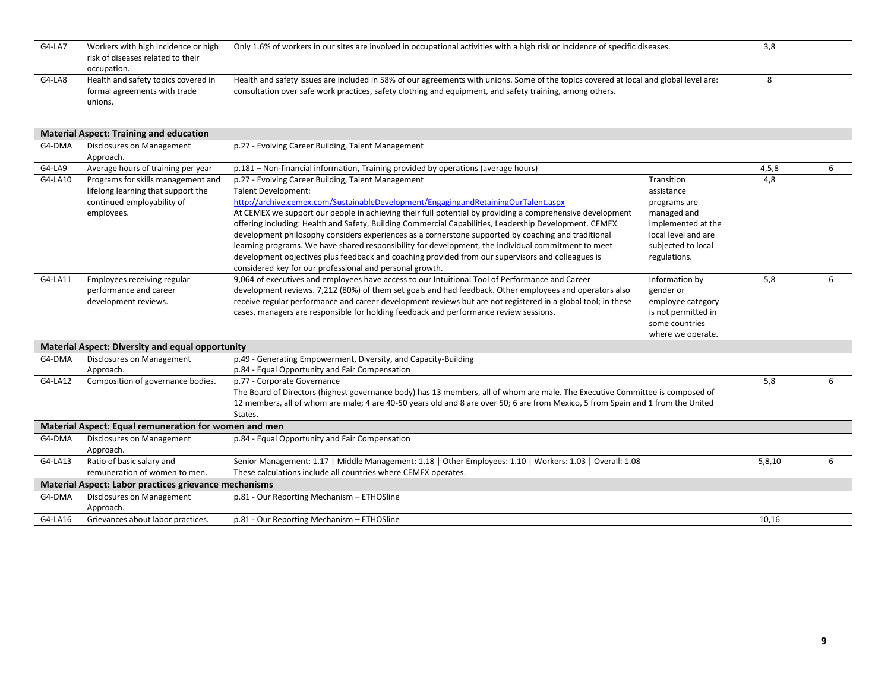| G4-LA7 | Workers with high incidence or high<br>risk of diseases related to their<br>occupation. | Only 1.6% of workers in our sites are involved in occupational activities with a high risk or incidence of specific diseases.                                                                                                                     | 3,8 |  |
|--------|-----------------------------------------------------------------------------------------|---------------------------------------------------------------------------------------------------------------------------------------------------------------------------------------------------------------------------------------------------|-----|--|
| G4-LA8 | Health and safety topics covered in<br>formal agreements with trade<br>unions.          | Health and safety issues are included in 58% of our agreements with unions. Some of the topics covered at local and global level are:<br>consultation over safe work practices, safety clothing and equipment, and safety training, among others. |     |  |
|        |                                                                                         |                                                                                                                                                                                                                                                   |     |  |

|         | <b>Material Aspect: Training and education</b>                                                                       |                                                                                                                                                                                                                                                                                                                                                                                                                                                                                                                                                                                                                                                                                                                                                                              |                                                                                                                                            |        |   |
|---------|----------------------------------------------------------------------------------------------------------------------|------------------------------------------------------------------------------------------------------------------------------------------------------------------------------------------------------------------------------------------------------------------------------------------------------------------------------------------------------------------------------------------------------------------------------------------------------------------------------------------------------------------------------------------------------------------------------------------------------------------------------------------------------------------------------------------------------------------------------------------------------------------------------|--------------------------------------------------------------------------------------------------------------------------------------------|--------|---|
| G4-DMA  | Disclosures on Management                                                                                            | p.27 - Evolving Career Building, Talent Management                                                                                                                                                                                                                                                                                                                                                                                                                                                                                                                                                                                                                                                                                                                           |                                                                                                                                            |        |   |
|         | Approach.                                                                                                            |                                                                                                                                                                                                                                                                                                                                                                                                                                                                                                                                                                                                                                                                                                                                                                              |                                                                                                                                            |        |   |
| G4-LA9  | Average hours of training per year                                                                                   | p.181 - Non-financial information, Training provided by operations (average hours)                                                                                                                                                                                                                                                                                                                                                                                                                                                                                                                                                                                                                                                                                           |                                                                                                                                            | 4,5,8  | 6 |
| G4-LA10 | Programs for skills management and<br>lifelong learning that support the<br>continued employability of<br>employees. | p.27 - Evolving Career Building, Talent Management<br><b>Talent Development:</b><br>http://archive.cemex.com/SustainableDevelopment/EngagingandRetainingOurTalent.aspx<br>At CEMEX we support our people in achieving their full potential by providing a comprehensive development<br>offering including: Health and Safety, Building Commercial Capabilities, Leadership Development. CEMEX<br>development philosophy considers experiences as a cornerstone supported by coaching and traditional<br>learning programs. We have shared responsibility for development, the individual commitment to meet<br>development objectives plus feedback and coaching provided from our supervisors and colleagues is<br>considered key for our professional and personal growth. | Transition<br>assistance<br>programs are<br>managed and<br>implemented at the<br>local level and are<br>subjected to local<br>regulations. | 4,8    |   |
| G4-LA11 | Employees receiving regular<br>performance and career<br>development reviews.                                        | 9,064 of executives and employees have access to our Intuitional Tool of Performance and Career<br>development reviews. 7,212 (80%) of them set goals and had feedback. Other employees and operators also<br>receive regular performance and career development reviews but are not registered in a global tool; in these<br>cases, managers are responsible for holding feedback and performance review sessions.                                                                                                                                                                                                                                                                                                                                                          | Information by<br>gender or<br>employee category<br>is not permitted in<br>some countries<br>where we operate.                             | 5,8    | 6 |
|         | <b>Material Aspect: Diversity and equal opportunity</b>                                                              |                                                                                                                                                                                                                                                                                                                                                                                                                                                                                                                                                                                                                                                                                                                                                                              |                                                                                                                                            |        |   |
| G4-DMA  | Disclosures on Management                                                                                            | p.49 - Generating Empowerment, Diversity, and Capacity-Building                                                                                                                                                                                                                                                                                                                                                                                                                                                                                                                                                                                                                                                                                                              |                                                                                                                                            |        |   |
|         | Approach.                                                                                                            | p.84 - Equal Opportunity and Fair Compensation                                                                                                                                                                                                                                                                                                                                                                                                                                                                                                                                                                                                                                                                                                                               |                                                                                                                                            |        |   |
| G4-LA12 | Composition of governance bodies.                                                                                    | p.77 - Corporate Governance<br>The Board of Directors (highest governance body) has 13 members, all of whom are male. The Executive Committee is composed of<br>12 members, all of whom are male; 4 are 40-50 years old and 8 are over 50; 6 are from Mexico, 5 from Spain and 1 from the United<br>States.                                                                                                                                                                                                                                                                                                                                                                                                                                                                  |                                                                                                                                            | 5,8    | 6 |
|         | Material Aspect: Equal remuneration for women and men                                                                |                                                                                                                                                                                                                                                                                                                                                                                                                                                                                                                                                                                                                                                                                                                                                                              |                                                                                                                                            |        |   |
| G4-DMA  | Disclosures on Management<br>Approach.                                                                               | p.84 - Equal Opportunity and Fair Compensation                                                                                                                                                                                                                                                                                                                                                                                                                                                                                                                                                                                                                                                                                                                               |                                                                                                                                            |        |   |
| G4-LA13 | Ratio of basic salary and<br>remuneration of women to men.                                                           | Senior Management: 1.17   Middle Management: 1.18   Other Employees: 1.10   Workers: 1.03   Overall: 1.08<br>These calculations include all countries where CEMEX operates.                                                                                                                                                                                                                                                                                                                                                                                                                                                                                                                                                                                                  |                                                                                                                                            | 5,8,10 | 6 |
|         | <b>Material Aspect: Labor practices grievance mechanisms</b>                                                         |                                                                                                                                                                                                                                                                                                                                                                                                                                                                                                                                                                                                                                                                                                                                                                              |                                                                                                                                            |        |   |
| G4-DMA  | Disclosures on Management<br>Approach.                                                                               | p.81 - Our Reporting Mechanism - ETHOSline                                                                                                                                                                                                                                                                                                                                                                                                                                                                                                                                                                                                                                                                                                                                   |                                                                                                                                            |        |   |
| G4-LA16 | Grievances about labor practices.                                                                                    | p.81 - Our Reporting Mechanism - ETHOSline                                                                                                                                                                                                                                                                                                                                                                                                                                                                                                                                                                                                                                                                                                                                   |                                                                                                                                            | 10,16  |   |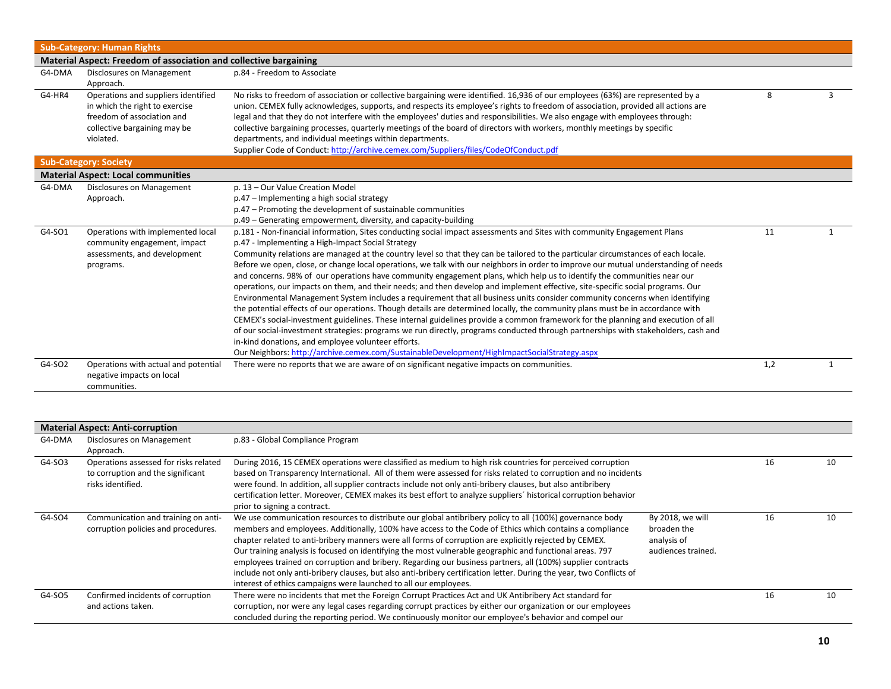|        | <b>Sub-Category: Human Rights</b>                                                                                                                |                                                                                                                                                                                                                                                                                                                                                                                                                                                                                                                                                                                                                                                                                                                                                                                                                                                                                                                                                                                                                                                                                                                                                                                                                                                                                                                                                                                                                        |     |   |  |  |
|--------|--------------------------------------------------------------------------------------------------------------------------------------------------|------------------------------------------------------------------------------------------------------------------------------------------------------------------------------------------------------------------------------------------------------------------------------------------------------------------------------------------------------------------------------------------------------------------------------------------------------------------------------------------------------------------------------------------------------------------------------------------------------------------------------------------------------------------------------------------------------------------------------------------------------------------------------------------------------------------------------------------------------------------------------------------------------------------------------------------------------------------------------------------------------------------------------------------------------------------------------------------------------------------------------------------------------------------------------------------------------------------------------------------------------------------------------------------------------------------------------------------------------------------------------------------------------------------------|-----|---|--|--|
|        | Material Aspect: Freedom of association and collective bargaining                                                                                |                                                                                                                                                                                                                                                                                                                                                                                                                                                                                                                                                                                                                                                                                                                                                                                                                                                                                                                                                                                                                                                                                                                                                                                                                                                                                                                                                                                                                        |     |   |  |  |
| G4-DMA | Disclosures on Management<br>Approach.                                                                                                           | p.84 - Freedom to Associate                                                                                                                                                                                                                                                                                                                                                                                                                                                                                                                                                                                                                                                                                                                                                                                                                                                                                                                                                                                                                                                                                                                                                                                                                                                                                                                                                                                            |     |   |  |  |
| G4-HR4 | Operations and suppliers identified<br>in which the right to exercise<br>freedom of association and<br>collective bargaining may be<br>violated. | No risks to freedom of association or collective bargaining were identified. 16,936 of our employees (63%) are represented by a<br>union. CEMEX fully acknowledges, supports, and respects its employee's rights to freedom of association, provided all actions are<br>legal and that they do not interfere with the employees' duties and responsibilities. We also engage with employees through:<br>collective bargaining processes, quarterly meetings of the board of directors with workers, monthly meetings by specific<br>departments, and individual meetings within departments.<br>Supplier Code of Conduct: http://archive.cemex.com/Suppliers/files/CodeOfConduct.pdf                                                                                                                                                                                                                                                                                                                                                                                                                                                                                                                                                                                                                                                                                                                                   | 8   | 3 |  |  |
|        | <b>Sub-Category: Society</b>                                                                                                                     |                                                                                                                                                                                                                                                                                                                                                                                                                                                                                                                                                                                                                                                                                                                                                                                                                                                                                                                                                                                                                                                                                                                                                                                                                                                                                                                                                                                                                        |     |   |  |  |
|        | <b>Material Aspect: Local communities</b>                                                                                                        |                                                                                                                                                                                                                                                                                                                                                                                                                                                                                                                                                                                                                                                                                                                                                                                                                                                                                                                                                                                                                                                                                                                                                                                                                                                                                                                                                                                                                        |     |   |  |  |
| G4-DMA | Disclosures on Management<br>Approach.                                                                                                           | p. 13 - Our Value Creation Model<br>p.47 - Implementing a high social strategy<br>p.47 - Promoting the development of sustainable communities<br>p.49 - Generating empowerment, diversity, and capacity-building                                                                                                                                                                                                                                                                                                                                                                                                                                                                                                                                                                                                                                                                                                                                                                                                                                                                                                                                                                                                                                                                                                                                                                                                       |     |   |  |  |
| G4-SO1 | Operations with implemented local<br>community engagement, impact<br>assessments, and development<br>programs.                                   | p.181 - Non-financial information, Sites conducting social impact assessments and Sites with community Engagement Plans<br>p.47 - Implementing a High-Impact Social Strategy<br>Community relations are managed at the country level so that they can be tailored to the particular circumstances of each locale.<br>Before we open, close, or change local operations, we talk with our neighbors in order to improve our mutual understanding of needs<br>and concerns. 98% of our operations have community engagement plans, which help us to identify the communities near our<br>operations, our impacts on them, and their needs; and then develop and implement effective, site-specific social programs. Our<br>Environmental Management System includes a requirement that all business units consider community concerns when identifying<br>the potential effects of our operations. Though details are determined locally, the community plans must be in accordance with<br>CEMEX's social-investment guidelines. These internal guidelines provide a common framework for the planning and execution of all<br>of our social-investment strategies: programs we run directly, programs conducted through partnerships with stakeholders, cash and<br>in-kind donations, and employee volunteer efforts.<br>Our Neighbors: http://archive.cemex.com/SustainableDevelopment/HighImpactSocialStrategy.aspx | 11  |   |  |  |
| G4-SO2 | Operations with actual and potential<br>negative impacts on local<br>communities.                                                                | There were no reports that we are aware of on significant negative impacts on communities.                                                                                                                                                                                                                                                                                                                                                                                                                                                                                                                                                                                                                                                                                                                                                                                                                                                                                                                                                                                                                                                                                                                                                                                                                                                                                                                             | 1,2 |   |  |  |

|        | <b>Material Aspect: Anti-corruption</b> |                                                                                                                      |                    |    |    |
|--------|-----------------------------------------|----------------------------------------------------------------------------------------------------------------------|--------------------|----|----|
| G4-DMA | Disclosures on Management               | p.83 - Global Compliance Program                                                                                     |                    |    |    |
|        | Approach.                               |                                                                                                                      |                    |    |    |
| G4-SO3 | Operations assessed for risks related   | During 2016, 15 CEMEX operations were classified as medium to high risk countries for perceived corruption           |                    | 16 | 10 |
|        | to corruption and the significant       | based on Transparency International. All of them were assessed for risks related to corruption and no incidents      |                    |    |    |
|        | risks identified.                       | were found. In addition, all supplier contracts include not only anti-bribery clauses, but also antibribery          |                    |    |    |
|        |                                         | certification letter. Moreover, CEMEX makes its best effort to analyze suppliers' historical corruption behavior     |                    |    |    |
|        |                                         | prior to signing a contract.                                                                                         |                    |    |    |
| G4-SO4 | Communication and training on anti-     | We use communication resources to distribute our global antibribery policy to all (100%) governance body             | By 2018, we will   | 16 | 10 |
|        | corruption policies and procedures.     | members and employees. Additionally, 100% have access to the Code of Ethics which contains a compliance              | broaden the        |    |    |
|        |                                         | chapter related to anti-bribery manners were all forms of corruption are explicitly rejected by CEMEX.               | analysis of        |    |    |
|        |                                         | Our training analysis is focused on identifying the most vulnerable geographic and functional areas. 797             | audiences trained. |    |    |
|        |                                         | employees trained on corruption and bribery. Regarding our business partners, all (100%) supplier contracts          |                    |    |    |
|        |                                         | include not only anti-bribery clauses, but also anti-bribery certification letter. During the year, two Conflicts of |                    |    |    |
|        |                                         | interest of ethics campaigns were launched to all our employees.                                                     |                    |    |    |
| G4-SO5 | Confirmed incidents of corruption       | There were no incidents that met the Foreign Corrupt Practices Act and UK Antibribery Act standard for               |                    | 16 | 10 |
|        | and actions taken.                      | corruption, nor were any legal cases regarding corrupt practices by either our organization or our employees         |                    |    |    |
|        |                                         | concluded during the reporting period. We continuously monitor our employee's behavior and compel our                |                    |    |    |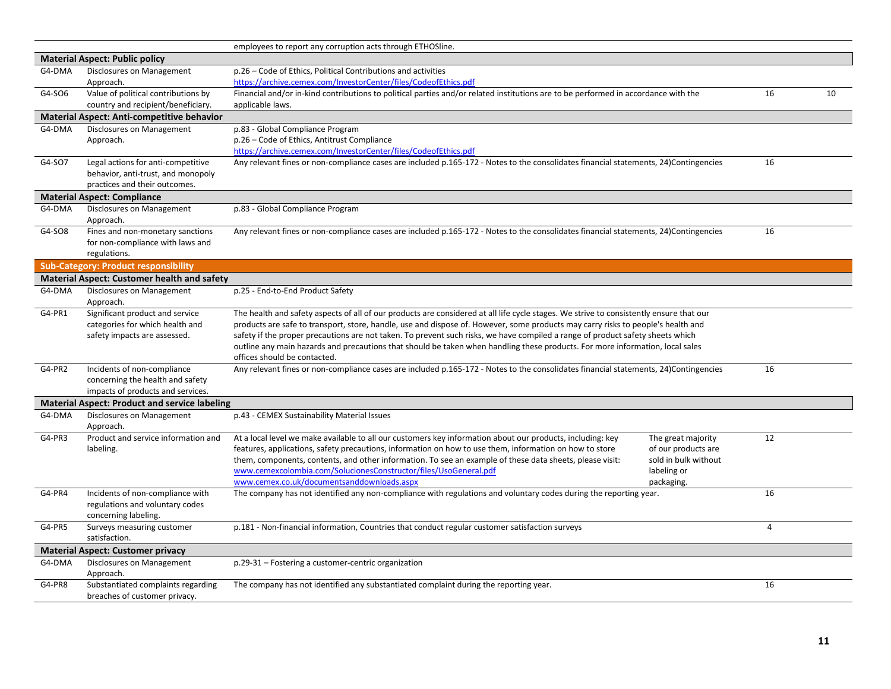|        |                                                      | employees to report any corruption acts through ETHOSline.                                                                              |                |    |
|--------|------------------------------------------------------|-----------------------------------------------------------------------------------------------------------------------------------------|----------------|----|
|        | <b>Material Aspect: Public policy</b>                |                                                                                                                                         |                |    |
| G4-DMA | Disclosures on Management                            | p.26 - Code of Ethics, Political Contributions and activities                                                                           |                |    |
|        | Approach.                                            | https://archive.cemex.com/InvestorCenter/files/CodeofEthics.pdf                                                                         |                |    |
| G4-SO6 | Value of political contributions by                  | Financial and/or in-kind contributions to political parties and/or related institutions are to be performed in accordance with the      | 16             | 10 |
|        | country and recipient/beneficiary.                   | applicable laws.                                                                                                                        |                |    |
|        | <b>Material Aspect: Anti-competitive behavior</b>    |                                                                                                                                         |                |    |
| G4-DMA | Disclosures on Management                            | p.83 - Global Compliance Program                                                                                                        |                |    |
|        | Approach.                                            | p.26 - Code of Ethics, Antitrust Compliance                                                                                             |                |    |
|        |                                                      | https://archive.cemex.com/InvestorCenter/files/CodeofEthics.pdf                                                                         |                |    |
| G4-SO7 | Legal actions for anti-competitive                   | Any relevant fines or non-compliance cases are included p.165-172 - Notes to the consolidates financial statements, 24)Contingencies    | 16             |    |
|        | behavior, anti-trust, and monopoly                   |                                                                                                                                         |                |    |
|        | practices and their outcomes.                        |                                                                                                                                         |                |    |
|        | <b>Material Aspect: Compliance</b>                   |                                                                                                                                         |                |    |
| G4-DMA | Disclosures on Management                            | p.83 - Global Compliance Program                                                                                                        |                |    |
|        | Approach.                                            |                                                                                                                                         |                |    |
| G4-SO8 | Fines and non-monetary sanctions                     | Any relevant fines or non-compliance cases are included p.165-172 - Notes to the consolidates financial statements, 24)Contingencies    | 16             |    |
|        | for non-compliance with laws and                     |                                                                                                                                         |                |    |
|        | regulations.                                         |                                                                                                                                         |                |    |
|        | <b>Sub-Category: Product responsibility</b>          |                                                                                                                                         |                |    |
|        | <b>Material Aspect: Customer health and safety</b>   |                                                                                                                                         |                |    |
| G4-DMA | Disclosures on Management<br>Approach.               | p.25 - End-to-End Product Safety                                                                                                        |                |    |
| G4-PR1 | Significant product and service                      | The health and safety aspects of all of our products are considered at all life cycle stages. We strive to consistently ensure that our |                |    |
|        | categories for which health and                      | products are safe to transport, store, handle, use and dispose of. However, some products may carry risks to people's health and        |                |    |
|        | safety impacts are assessed.                         | safety if the proper precautions are not taken. To prevent such risks, we have compiled a range of product safety sheets which          |                |    |
|        |                                                      | outline any main hazards and precautions that should be taken when handling these products. For more information, local sales           |                |    |
|        |                                                      | offices should be contacted.                                                                                                            |                |    |
| G4-PR2 | Incidents of non-compliance                          | Any relevant fines or non-compliance cases are included p.165-172 - Notes to the consolidates financial statements, 24)Contingencies    | 16             |    |
|        | concerning the health and safety                     |                                                                                                                                         |                |    |
|        | impacts of products and services.                    |                                                                                                                                         |                |    |
|        | <b>Material Aspect: Product and service labeling</b> |                                                                                                                                         |                |    |
| G4-DMA | Disclosures on Management<br>Approach.               | p.43 - CEMEX Sustainability Material Issues                                                                                             |                |    |
| G4-PR3 | Product and service information and                  | At a local level we make available to all our customers key information about our products, including: key<br>The great majority        | 12             |    |
|        | labeling.                                            | features, applications, safety precautions, information on how to use them, information on how to store<br>of our products are          |                |    |
|        |                                                      | them, components, contents, and other information. To see an example of these data sheets, please visit:<br>sold in bulk without        |                |    |
|        |                                                      | www.cemexcolombia.com/SolucionesConstructor/files/UsoGeneral.pdf<br>labeling or                                                         |                |    |
|        |                                                      | www.cemex.co.uk/documentsanddownloads.aspx<br>packaging.                                                                                |                |    |
| G4-PR4 | Incidents of non-compliance with                     | The company has not identified any non-compliance with regulations and voluntary codes during the reporting year.                       | 16             |    |
|        | regulations and voluntary codes                      |                                                                                                                                         |                |    |
|        | concerning labeling.                                 |                                                                                                                                         |                |    |
| G4-PR5 | Surveys measuring customer                           | p.181 - Non-financial information, Countries that conduct regular customer satisfaction surveys                                         | $\overline{4}$ |    |
|        | satisfaction.                                        |                                                                                                                                         |                |    |
|        | <b>Material Aspect: Customer privacy</b>             |                                                                                                                                         |                |    |
| G4-DMA | Disclosures on Management                            | p.29-31 - Fostering a customer-centric organization                                                                                     |                |    |
|        | Approach.                                            |                                                                                                                                         |                |    |
| G4-PR8 | Substantiated complaints regarding                   | The company has not identified any substantiated complaint during the reporting year.                                                   | 16             |    |
|        | breaches of customer privacy.                        |                                                                                                                                         |                |    |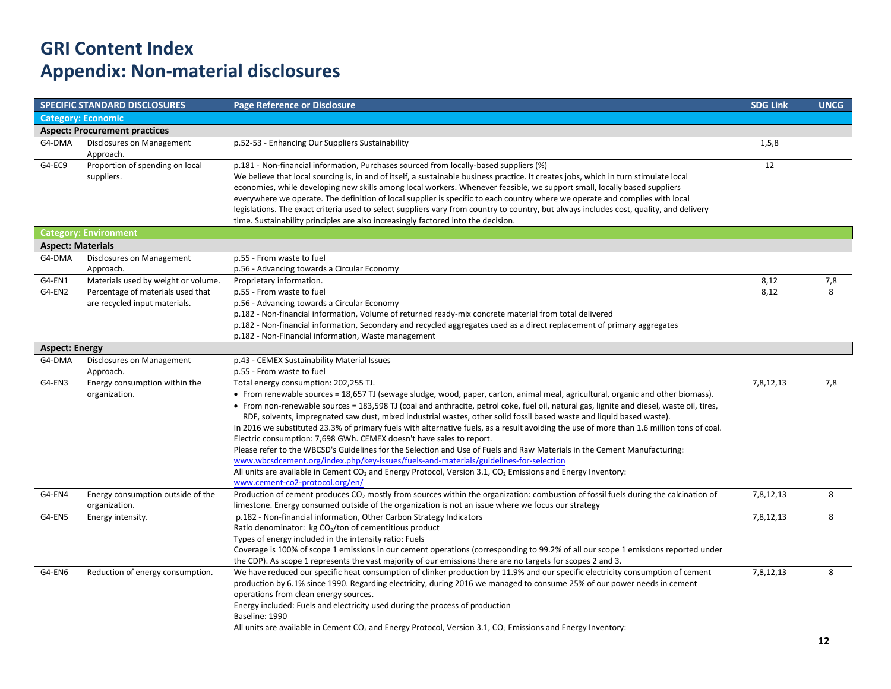## **GRI Content Index Appendix: Non-material disclosures**

|                          | <b>SPECIFIC STANDARD DISCLOSURES</b>                               | <b>Page Reference or Disclosure</b>                                                                                                                                                                                                                                                                                                                                                                                                                                                                                                                                                                                                                                                                                                                                                                                                                                                                                                                                                                                                                                 | <b>SDG Link</b> | <b>UNCG</b>  |  |
|--------------------------|--------------------------------------------------------------------|---------------------------------------------------------------------------------------------------------------------------------------------------------------------------------------------------------------------------------------------------------------------------------------------------------------------------------------------------------------------------------------------------------------------------------------------------------------------------------------------------------------------------------------------------------------------------------------------------------------------------------------------------------------------------------------------------------------------------------------------------------------------------------------------------------------------------------------------------------------------------------------------------------------------------------------------------------------------------------------------------------------------------------------------------------------------|-----------------|--------------|--|
|                          | <b>Category: Economic</b>                                          |                                                                                                                                                                                                                                                                                                                                                                                                                                                                                                                                                                                                                                                                                                                                                                                                                                                                                                                                                                                                                                                                     |                 |              |  |
|                          | <b>Aspect: Procurement practices</b>                               |                                                                                                                                                                                                                                                                                                                                                                                                                                                                                                                                                                                                                                                                                                                                                                                                                                                                                                                                                                                                                                                                     |                 |              |  |
| G4-DMA                   | Disclosures on Management<br>Approach.                             | p.52-53 - Enhancing Our Suppliers Sustainability                                                                                                                                                                                                                                                                                                                                                                                                                                                                                                                                                                                                                                                                                                                                                                                                                                                                                                                                                                                                                    | 1,5,8           |              |  |
| G4-EC9                   | Proportion of spending on local<br>suppliers.                      | p.181 - Non-financial information, Purchases sourced from locally-based suppliers (%)<br>We believe that local sourcing is, in and of itself, a sustainable business practice. It creates jobs, which in turn stimulate local<br>economies, while developing new skills among local workers. Whenever feasible, we support small, locally based suppliers<br>everywhere we operate. The definition of local supplier is specific to each country where we operate and complies with local<br>legislations. The exact criteria used to select suppliers vary from country to country, but always includes cost, quality, and delivery<br>time. Sustainability principles are also increasingly factored into the decision.                                                                                                                                                                                                                                                                                                                                           | 12              |              |  |
|                          | <b>Category: Environment</b>                                       |                                                                                                                                                                                                                                                                                                                                                                                                                                                                                                                                                                                                                                                                                                                                                                                                                                                                                                                                                                                                                                                                     |                 |              |  |
| <b>Aspect: Materials</b> |                                                                    |                                                                                                                                                                                                                                                                                                                                                                                                                                                                                                                                                                                                                                                                                                                                                                                                                                                                                                                                                                                                                                                                     |                 |              |  |
| G4-DMA                   | Disclosures on Management<br>Approach.                             | p.55 - From waste to fuel<br>p.56 - Advancing towards a Circular Economy                                                                                                                                                                                                                                                                                                                                                                                                                                                                                                                                                                                                                                                                                                                                                                                                                                                                                                                                                                                            |                 |              |  |
| G4-EN1                   | Materials used by weight or volume.                                | Proprietary information.                                                                                                                                                                                                                                                                                                                                                                                                                                                                                                                                                                                                                                                                                                                                                                                                                                                                                                                                                                                                                                            | 8,12            | 7,8          |  |
| G4-EN2                   | Percentage of materials used that<br>are recycled input materials. | p.55 - From waste to fuel<br>p.56 - Advancing towards a Circular Economy<br>p.182 - Non-financial information, Volume of returned ready-mix concrete material from total delivered<br>p.182 - Non-financial information, Secondary and recycled aggregates used as a direct replacement of primary aggregates<br>p.182 - Non-Financial information, Waste management                                                                                                                                                                                                                                                                                                                                                                                                                                                                                                                                                                                                                                                                                                | 8.12            | $\mathbf{8}$ |  |
|                          | <b>Aspect: Energy</b>                                              |                                                                                                                                                                                                                                                                                                                                                                                                                                                                                                                                                                                                                                                                                                                                                                                                                                                                                                                                                                                                                                                                     |                 |              |  |
| G4-DMA                   | Disclosures on Management                                          | p.43 - CEMEX Sustainability Material Issues                                                                                                                                                                                                                                                                                                                                                                                                                                                                                                                                                                                                                                                                                                                                                                                                                                                                                                                                                                                                                         |                 |              |  |
|                          | Approach.                                                          | p.55 - From waste to fuel                                                                                                                                                                                                                                                                                                                                                                                                                                                                                                                                                                                                                                                                                                                                                                                                                                                                                                                                                                                                                                           |                 |              |  |
| G4-EN3                   | Energy consumption within the<br>organization.                     | Total energy consumption: 202,255 TJ.<br>• From renewable sources = 18,657 TJ (sewage sludge, wood, paper, carton, animal meal, agricultural, organic and other biomass).<br>• From non-renewable sources = 183,598 TJ (coal and anthracite, petrol coke, fuel oil, natural gas, lignite and diesel, waste oil, tires,<br>RDF, solvents, impregnated saw dust, mixed industrial wastes, other solid fossil based waste and liquid based waste).<br>In 2016 we substituted 23.3% of primary fuels with alternative fuels, as a result avoiding the use of more than 1.6 million tons of coal.<br>Electric consumption: 7,698 GWh. CEMEX doesn't have sales to report.<br>Please refer to the WBCSD's Guidelines for the Selection and Use of Fuels and Raw Materials in the Cement Manufacturing:<br>www.wbcsdcement.org/index.php/key-issues/fuels-and-materials/guidelines-for-selection<br>All units are available in Cement CO <sub>2</sub> and Energy Protocol, Version 3.1, CO <sub>2</sub> Emissions and Energy Inventory:<br>www.cement-co2-protocol.org/en/ | 7,8,12,13       | 7,8          |  |
| G4-EN4                   | Energy consumption outside of the<br>organization.                 | Production of cement produces CO <sub>2</sub> mostly from sources within the organization: combustion of fossil fuels during the calcination of<br>limestone. Energy consumed outside of the organization is not an issue where we focus our strategy                                                                                                                                                                                                                                                                                                                                                                                                                                                                                                                                                                                                                                                                                                                                                                                                               | 7,8,12,13       | 8            |  |
| G4-EN5                   | Energy intensity.                                                  | p.182 - Non-financial information, Other Carbon Strategy Indicators<br>Ratio denominator: kg CO <sub>2</sub> /ton of cementitious product<br>Types of energy included in the intensity ratio: Fuels<br>Coverage is 100% of scope 1 emissions in our cement operations (corresponding to 99.2% of all our scope 1 emissions reported under<br>the CDP). As scope 1 represents the vast majority of our emissions there are no targets for scopes 2 and 3.                                                                                                                                                                                                                                                                                                                                                                                                                                                                                                                                                                                                            | 7,8,12,13       | 8            |  |
| G4-EN6                   | Reduction of energy consumption.                                   | We have reduced our specific heat consumption of clinker production by 11.9% and our specific electricity consumption of cement<br>production by 6.1% since 1990. Regarding electricity, during 2016 we managed to consume 25% of our power needs in cement<br>operations from clean energy sources.<br>Energy included: Fuels and electricity used during the process of production<br>Baseline: 1990<br>All units are available in Cement $CO2$ and Energy Protocol, Version 3.1, $CO2$ Emissions and Energy Inventory:                                                                                                                                                                                                                                                                                                                                                                                                                                                                                                                                           | 7,8,12,13       | 8            |  |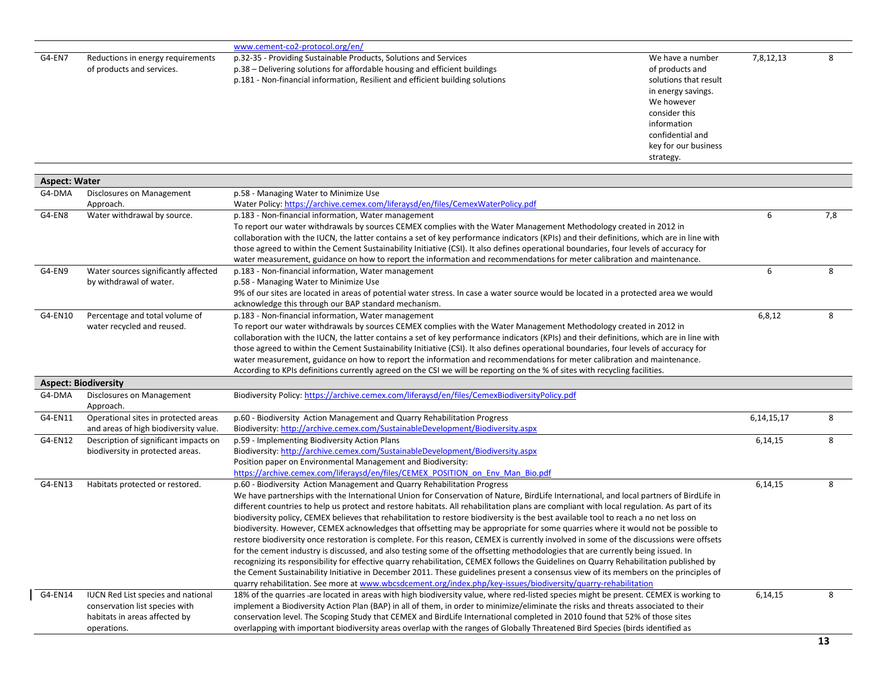|                      |                                                                | www.cement-co2-protocol.org/en/                                                                                                                                                                                                                                                                                                                                                                                              |               |     |
|----------------------|----------------------------------------------------------------|------------------------------------------------------------------------------------------------------------------------------------------------------------------------------------------------------------------------------------------------------------------------------------------------------------------------------------------------------------------------------------------------------------------------------|---------------|-----|
| G4-EN7               | Reductions in energy requirements<br>of products and services. | p.32-35 - Providing Sustainable Products, Solutions and Services<br>We have a number<br>p.38 - Delivering solutions for affordable housing and efficient buildings<br>of products and<br>p.181 - Non-financial information, Resilient and efficient building solutions<br>solutions that result<br>in energy savings.<br>We however<br>consider this<br>information<br>confidential and<br>key for our business<br>strategy. | 7,8,12,13     | 8   |
| <b>Aspect: Water</b> |                                                                |                                                                                                                                                                                                                                                                                                                                                                                                                              |               |     |
| G4-DMA               | Disclosures on Management                                      | p.58 - Managing Water to Minimize Use                                                                                                                                                                                                                                                                                                                                                                                        |               |     |
|                      | Approach.                                                      | Water Policy: https://archive.cemex.com/liferaysd/en/files/CemexWaterPolicy.pdf                                                                                                                                                                                                                                                                                                                                              |               |     |
| G4-EN8               | Water withdrawal by source.                                    | p.183 - Non-financial information, Water management                                                                                                                                                                                                                                                                                                                                                                          | 6             | 7,8 |
|                      |                                                                | To report our water withdrawals by sources CEMEX complies with the Water Management Methodology created in 2012 in                                                                                                                                                                                                                                                                                                           |               |     |
|                      |                                                                | collaboration with the IUCN, the latter contains a set of key performance indicators (KPIs) and their definitions, which are in line with                                                                                                                                                                                                                                                                                    |               |     |
|                      |                                                                | those agreed to within the Cement Sustainability Initiative (CSI). It also defines operational boundaries, four levels of accuracy for                                                                                                                                                                                                                                                                                       |               |     |
|                      |                                                                | water measurement, guidance on how to report the information and recommendations for meter calibration and maintenance.                                                                                                                                                                                                                                                                                                      |               |     |
| G4-EN9               | Water sources significantly affected                           | p.183 - Non-financial information, Water management                                                                                                                                                                                                                                                                                                                                                                          | 6             | 8   |
|                      | by withdrawal of water.                                        | p.58 - Managing Water to Minimize Use                                                                                                                                                                                                                                                                                                                                                                                        |               |     |
|                      |                                                                | 9% of our sites are located in areas of potential water stress. In case a water source would be located in a protected area we would                                                                                                                                                                                                                                                                                         |               |     |
|                      |                                                                | acknowledge this through our BAP standard mechanism.                                                                                                                                                                                                                                                                                                                                                                         |               |     |
| G4-EN10              | Percentage and total volume of                                 | p.183 - Non-financial information, Water management                                                                                                                                                                                                                                                                                                                                                                          | 6,8,12        | 8   |
|                      | water recycled and reused.                                     | To report our water withdrawals by sources CEMEX complies with the Water Management Methodology created in 2012 in<br>collaboration with the IUCN, the latter contains a set of key performance indicators (KPIs) and their definitions, which are in line with                                                                                                                                                              |               |     |
|                      |                                                                | those agreed to within the Cement Sustainability Initiative (CSI). It also defines operational boundaries, four levels of accuracy for                                                                                                                                                                                                                                                                                       |               |     |
|                      |                                                                | water measurement, guidance on how to report the information and recommendations for meter calibration and maintenance.                                                                                                                                                                                                                                                                                                      |               |     |
|                      |                                                                | According to KPIs definitions currently agreed on the CSI we will be reporting on the % of sites with recycling facilities.                                                                                                                                                                                                                                                                                                  |               |     |
|                      | <b>Aspect: Biodiversity</b>                                    |                                                                                                                                                                                                                                                                                                                                                                                                                              |               |     |
| G4-DMA               | Disclosures on Management                                      | Biodiversity Policy: https://archive.cemex.com/liferaysd/en/files/CemexBiodiversityPolicy.pdf                                                                                                                                                                                                                                                                                                                                |               |     |
|                      | Approach.                                                      |                                                                                                                                                                                                                                                                                                                                                                                                                              |               |     |
| G4-EN11              | Operational sites in protected areas                           | p.60 - Biodiversity Action Management and Quarry Rehabilitation Progress                                                                                                                                                                                                                                                                                                                                                     | 6, 14, 15, 17 | 8   |
|                      | and areas of high biodiversity value.                          | Biodiversity: http://archive.cemex.com/SustainableDevelopment/Biodiversity.aspx                                                                                                                                                                                                                                                                                                                                              |               |     |
| G4-EN12              | Description of significant impacts on                          | p.59 - Implementing Biodiversity Action Plans                                                                                                                                                                                                                                                                                                                                                                                | 6,14,15       | 8   |
|                      | biodiversity in protected areas.                               | Biodiversity: http://archive.cemex.com/SustainableDevelopment/Biodiversity.aspx                                                                                                                                                                                                                                                                                                                                              |               |     |
|                      |                                                                | Position paper on Environmental Management and Biodiversity:                                                                                                                                                                                                                                                                                                                                                                 |               |     |
|                      |                                                                | https://archive.cemex.com/liferaysd/en/files/CEMEX POSITION on Env Man Bio.pdf                                                                                                                                                                                                                                                                                                                                               |               |     |
| G4-EN13              | Habitats protected or restored.                                | p.60 - Biodiversity Action Management and Quarry Rehabilitation Progress                                                                                                                                                                                                                                                                                                                                                     | 6,14,15       | 8   |
|                      |                                                                | We have partnerships with the International Union for Conservation of Nature, BirdLife International, and local partners of BirdLife in                                                                                                                                                                                                                                                                                      |               |     |
|                      |                                                                | different countries to help us protect and restore habitats. All rehabilitation plans are compliant with local regulation. As part of its<br>biodiversity policy, CEMEX believes that rehabilitation to restore biodiversity is the best available tool to reach a no net loss on                                                                                                                                            |               |     |
|                      |                                                                | biodiversity. However, CEMEX acknowledges that offsetting may be appropriate for some quarries where it would not be possible to                                                                                                                                                                                                                                                                                             |               |     |
|                      |                                                                | restore biodiversity once restoration is complete. For this reason, CEMEX is currently involved in some of the discussions were offsets                                                                                                                                                                                                                                                                                      |               |     |
|                      |                                                                | for the cement industry is discussed, and also testing some of the offsetting methodologies that are currently being issued. In                                                                                                                                                                                                                                                                                              |               |     |
|                      |                                                                | recognizing its responsibility for effective quarry rehabilitation, CEMEX follows the Guidelines on Quarry Rehabilitation published by                                                                                                                                                                                                                                                                                       |               |     |
|                      |                                                                | the Cement Sustainability Initiative in December 2011. These guidelines present a consensus view of its members on the principles of                                                                                                                                                                                                                                                                                         |               |     |
|                      |                                                                | quarry rehabilitation. See more at www.wbcsdcement.org/index.php/key-issues/biodiversity/quarry-rehabilitation                                                                                                                                                                                                                                                                                                               |               |     |
| G4-EN14              | <b>IUCN Red List species and national</b>                      | 18% of the quarries-are located in areas with high biodiversity value, where red-listed species might be present. CEMEX is working to                                                                                                                                                                                                                                                                                        | 6,14,15       | 8   |
|                      | conservation list species with                                 | implement a Biodiversity Action Plan (BAP) in all of them, in order to minimize/eliminate the risks and threats associated to their                                                                                                                                                                                                                                                                                          |               |     |
|                      | habitats in areas affected by                                  | conservation level. The Scoping Study that CEMEX and BirdLife International completed in 2010 found that 52% of those sites                                                                                                                                                                                                                                                                                                  |               |     |
|                      | operations.                                                    | overlapping with important biodiversity areas overlap with the ranges of Globally Threatened Bird Species (birds identified as                                                                                                                                                                                                                                                                                               |               |     |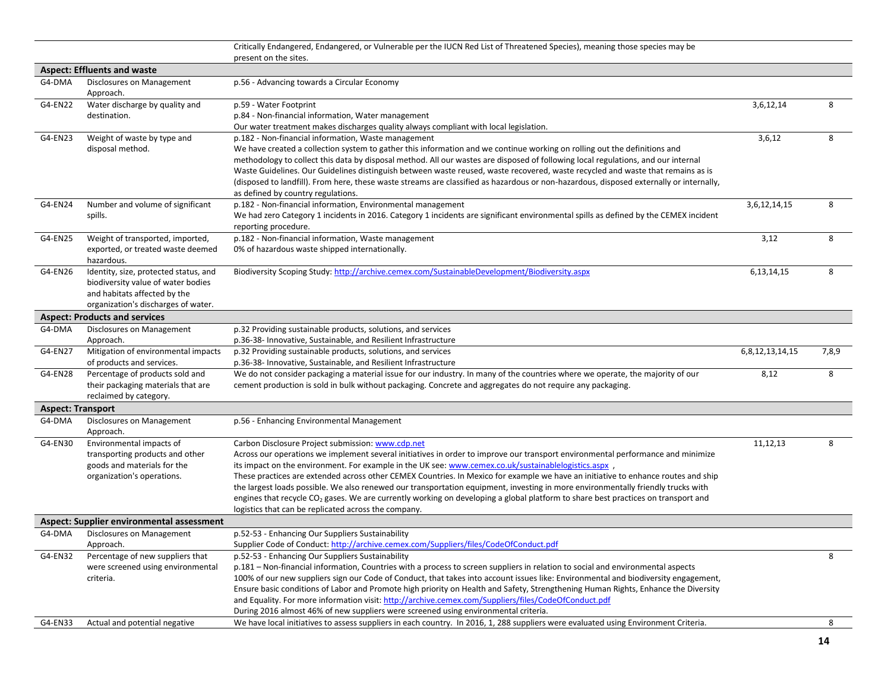|                          |                                                | Critically Endangered, Endangered, or Vulnerable per the IUCN Red List of Threatened Species), meaning those species may be                                                                                                                                            |                      |       |
|--------------------------|------------------------------------------------|------------------------------------------------------------------------------------------------------------------------------------------------------------------------------------------------------------------------------------------------------------------------|----------------------|-------|
|                          |                                                | present on the sites.                                                                                                                                                                                                                                                  |                      |       |
|                          | <b>Aspect: Effluents and waste</b>             |                                                                                                                                                                                                                                                                        |                      |       |
| G4-DMA                   | Disclosures on Management<br>Approach.         | p.56 - Advancing towards a Circular Economy                                                                                                                                                                                                                            |                      |       |
| G4-EN22                  | Water discharge by quality and                 | p.59 - Water Footprint                                                                                                                                                                                                                                                 | 3,6,12,14            | 8     |
|                          | destination.                                   | p.84 - Non-financial information, Water management                                                                                                                                                                                                                     |                      |       |
|                          |                                                | Our water treatment makes discharges quality always compliant with local legislation.                                                                                                                                                                                  |                      |       |
| G4-EN23                  | Weight of waste by type and                    | p.182 - Non-financial information, Waste management                                                                                                                                                                                                                    | 3,6,12               | 8     |
|                          | disposal method.                               | We have created a collection system to gather this information and we continue working on rolling out the definitions and                                                                                                                                              |                      |       |
|                          |                                                | methodology to collect this data by disposal method. All our wastes are disposed of following local regulations, and our internal                                                                                                                                      |                      |       |
|                          |                                                | Waste Guidelines. Our Guidelines distinguish between waste reused, waste recovered, waste recycled and waste that remains as is                                                                                                                                        |                      |       |
|                          |                                                | (disposed to landfill). From here, these waste streams are classified as hazardous or non-hazardous, disposed externally or internally,                                                                                                                                |                      |       |
|                          |                                                | as defined by country regulations.                                                                                                                                                                                                                                     |                      |       |
| G4-EN24                  | Number and volume of significant               | p.182 - Non-financial information, Environmental management                                                                                                                                                                                                            | 3,6,12,14,15         | 8     |
|                          | spills.                                        | We had zero Category 1 incidents in 2016. Category 1 incidents are significant environmental spills as defined by the CEMEX incident<br>reporting procedure.                                                                                                           |                      |       |
| G4-EN25                  | Weight of transported, imported,               | p.182 - Non-financial information, Waste management                                                                                                                                                                                                                    | 3,12                 | 8     |
|                          | exported, or treated waste deemed              | 0% of hazardous waste shipped internationally.                                                                                                                                                                                                                         |                      |       |
|                          | hazardous.                                     |                                                                                                                                                                                                                                                                        |                      |       |
| G4-EN26                  | Identity, size, protected status, and          | Biodiversity Scoping Study: http://archive.cemex.com/SustainableDevelopment/Biodiversity.aspx                                                                                                                                                                          | 6,13,14,15           | 8     |
|                          | biodiversity value of water bodies             |                                                                                                                                                                                                                                                                        |                      |       |
|                          | and habitats affected by the                   |                                                                                                                                                                                                                                                                        |                      |       |
|                          | organization's discharges of water.            |                                                                                                                                                                                                                                                                        |                      |       |
|                          | <b>Aspect: Products and services</b>           |                                                                                                                                                                                                                                                                        |                      |       |
| G4-DMA                   | Disclosures on Management                      | p.32 Providing sustainable products, solutions, and services                                                                                                                                                                                                           |                      |       |
|                          | Approach.                                      | p.36-38- Innovative, Sustainable, and Resilient Infrastructure                                                                                                                                                                                                         |                      |       |
| G4-EN27                  | Mitigation of environmental impacts            | p.32 Providing sustainable products, solutions, and services                                                                                                                                                                                                           | 6, 8, 12, 13, 14, 15 | 7,8,9 |
|                          | of products and services.                      | p.36-38- Innovative, Sustainable, and Resilient Infrastructure                                                                                                                                                                                                         |                      |       |
| G4-EN28                  | Percentage of products sold and                | We do not consider packaging a material issue for our industry. In many of the countries where we operate, the majority of our                                                                                                                                         | 8,12                 | 8     |
|                          | their packaging materials that are             | cement production is sold in bulk without packaging. Concrete and aggregates do not require any packaging.                                                                                                                                                             |                      |       |
|                          | reclaimed by category.                         |                                                                                                                                                                                                                                                                        |                      |       |
| <b>Aspect: Transport</b> |                                                |                                                                                                                                                                                                                                                                        |                      |       |
| G4-DMA                   | Disclosures on Management<br>Approach.         | p.56 - Enhancing Environmental Management                                                                                                                                                                                                                              |                      |       |
| G4-EN30                  | Environmental impacts of                       | Carbon Disclosure Project submission: www.cdp.net                                                                                                                                                                                                                      | 11,12,13             | 8     |
|                          | transporting products and other                | Across our operations we implement several initiatives in order to improve our transport environmental performance and minimize                                                                                                                                        |                      |       |
|                          | goods and materials for the                    | its impact on the environment. For example in the UK see: www.cemex.co.uk/sustainablelogistics.aspx                                                                                                                                                                    |                      |       |
|                          | organization's operations.                     | These practices are extended across other CEMEX Countries. In Mexico for example we have an initiative to enhance routes and ship                                                                                                                                      |                      |       |
|                          |                                                | the largest loads possible. We also renewed our transportation equipment, investing in more environmentally friendly trucks with                                                                                                                                       |                      |       |
|                          |                                                | engines that recycle CO <sub>2</sub> gases. We are currently working on developing a global platform to share best practices on transport and                                                                                                                          |                      |       |
|                          |                                                | logistics that can be replicated across the company.                                                                                                                                                                                                                   |                      |       |
|                          | Aspect: Supplier environmental assessment      |                                                                                                                                                                                                                                                                        |                      |       |
| G4-DMA                   | Disclosures on Management                      | p.52-53 - Enhancing Our Suppliers Sustainability                                                                                                                                                                                                                       |                      |       |
|                          | Approach.                                      | Supplier Code of Conduct: http://archive.cemex.com/Suppliers/files/CodeOfConduct.pdf                                                                                                                                                                                   |                      |       |
| G4-EN32                  | Percentage of new suppliers that               | p.52-53 - Enhancing Our Suppliers Sustainability                                                                                                                                                                                                                       |                      | 8     |
|                          | were screened using environmental<br>criteria. | p.181 - Non-financial information, Countries with a process to screen suppliers in relation to social and environmental aspects<br>100% of our new suppliers sign our Code of Conduct, that takes into account issues like: Environmental and biodiversity engagement, |                      |       |
|                          |                                                | Ensure basic conditions of Labor and Promote high priority on Health and Safety, Strengthening Human Rights, Enhance the Diversity                                                                                                                                     |                      |       |
|                          |                                                | and Equality. For more information visit: http://archive.cemex.com/Suppliers/files/CodeOfConduct.pdf                                                                                                                                                                   |                      |       |
|                          |                                                | During 2016 almost 46% of new suppliers were screened using environmental criteria.                                                                                                                                                                                    |                      |       |
| G4-EN33                  | Actual and potential negative                  | We have local initiatives to assess suppliers in each country. In 2016, 1, 288 suppliers were evaluated using Environment Criteria.                                                                                                                                    |                      | 8     |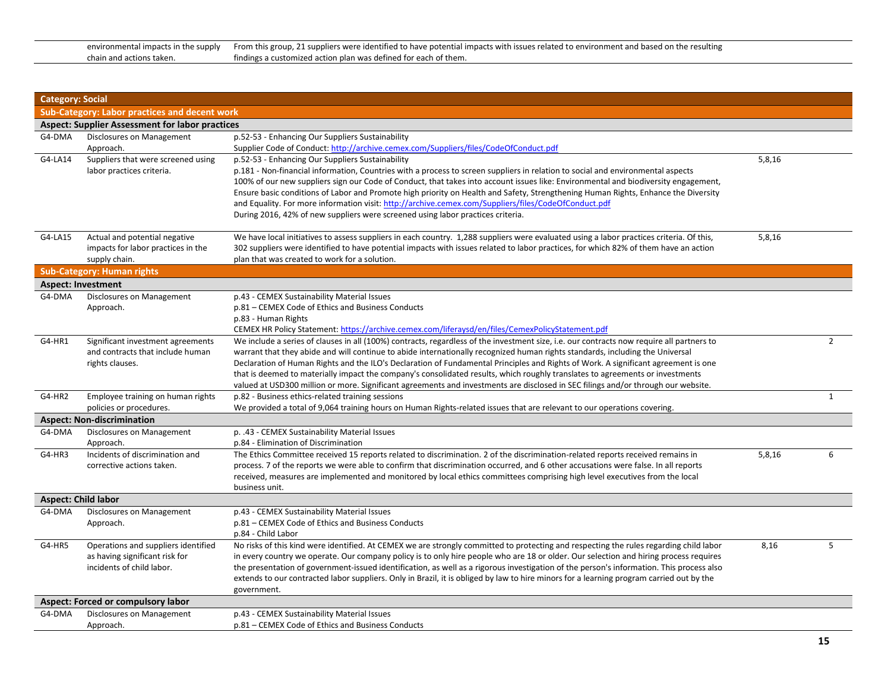| environmental impacts in the supply | From this group, 21 suppliers were identified to have potential impacts with issues related to environment and based on the resulting |
|-------------------------------------|---------------------------------------------------------------------------------------------------------------------------------------|
| chain and actions taken.            | findings a customized action plan was defined for each of them.                                                                       |

| <b>Category: Social</b>    |                                                                                                    |                                                                                                                                                                                                                                                                                                                                                                                                                                                                                                                                                                                                                                                                                        |        |                |
|----------------------------|----------------------------------------------------------------------------------------------------|----------------------------------------------------------------------------------------------------------------------------------------------------------------------------------------------------------------------------------------------------------------------------------------------------------------------------------------------------------------------------------------------------------------------------------------------------------------------------------------------------------------------------------------------------------------------------------------------------------------------------------------------------------------------------------------|--------|----------------|
|                            | Sub-Category: Labor practices and decent work                                                      |                                                                                                                                                                                                                                                                                                                                                                                                                                                                                                                                                                                                                                                                                        |        |                |
|                            | <b>Aspect: Supplier Assessment for labor practices</b>                                             |                                                                                                                                                                                                                                                                                                                                                                                                                                                                                                                                                                                                                                                                                        |        |                |
| G4-DMA                     | Disclosures on Management                                                                          | p.52-53 - Enhancing Our Suppliers Sustainability                                                                                                                                                                                                                                                                                                                                                                                                                                                                                                                                                                                                                                       |        |                |
|                            | Approach.                                                                                          | Supplier Code of Conduct: http://archive.cemex.com/Suppliers/files/CodeOfConduct.pdf                                                                                                                                                                                                                                                                                                                                                                                                                                                                                                                                                                                                   |        |                |
| G4-LA14                    | Suppliers that were screened using<br>labor practices criteria.                                    | p.52-53 - Enhancing Our Suppliers Sustainability<br>p.181 - Non-financial information, Countries with a process to screen suppliers in relation to social and environmental aspects<br>100% of our new suppliers sign our Code of Conduct, that takes into account issues like: Environmental and biodiversity engagement,<br>Ensure basic conditions of Labor and Promote high priority on Health and Safety, Strengthening Human Rights, Enhance the Diversity<br>and Equality. For more information visit: http://archive.cemex.com/Suppliers/files/CodeOfConduct.pdf<br>During 2016, 42% of new suppliers were screened using labor practices criteria.                            | 5,8,16 |                |
| G4-LA15                    | Actual and potential negative<br>impacts for labor practices in the<br>supply chain.               | We have local initiatives to assess suppliers in each country. 1,288 suppliers were evaluated using a labor practices criteria. Of this,<br>302 suppliers were identified to have potential impacts with issues related to labor practices, for which 82% of them have an action<br>plan that was created to work for a solution.                                                                                                                                                                                                                                                                                                                                                      | 5,8,16 |                |
|                            | <b>Sub-Category: Human rights</b>                                                                  |                                                                                                                                                                                                                                                                                                                                                                                                                                                                                                                                                                                                                                                                                        |        |                |
|                            | <b>Aspect: Investment</b>                                                                          |                                                                                                                                                                                                                                                                                                                                                                                                                                                                                                                                                                                                                                                                                        |        |                |
| G4-DMA                     | Disclosures on Management<br>Approach.                                                             | p.43 - CEMEX Sustainability Material Issues<br>p.81 – CEMEX Code of Ethics and Business Conducts<br>p.83 - Human Rights<br>CEMEX HR Policy Statement: https://archive.cemex.com/liferaysd/en/files/CemexPolicyStatement.pdf                                                                                                                                                                                                                                                                                                                                                                                                                                                            |        |                |
| G4-HR1                     | Significant investment agreements<br>and contracts that include human<br>rights clauses.           | We include a series of clauses in all (100%) contracts, regardless of the investment size, i.e. our contracts now require all partners to<br>warrant that they abide and will continue to abide internationally recognized human rights standards, including the Universal<br>Declaration of Human Rights and the ILO's Declaration of Fundamental Principles and Rights of Work. A significant agreement is one<br>that is deemed to materially impact the company's consolidated results, which roughly translates to agreements or investments<br>valued at USD300 million or more. Significant agreements and investments are disclosed in SEC filings and/or through our website. |        | $\overline{2}$ |
| G4-HR2                     | Employee training on human rights<br>policies or procedures.                                       | p.82 - Business ethics-related training sessions<br>We provided a total of 9,064 training hours on Human Rights-related issues that are relevant to our operations covering.                                                                                                                                                                                                                                                                                                                                                                                                                                                                                                           |        | $\mathbf{1}$   |
|                            | <b>Aspect: Non-discrimination</b>                                                                  |                                                                                                                                                                                                                                                                                                                                                                                                                                                                                                                                                                                                                                                                                        |        |                |
| G4-DMA                     | Disclosures on Management<br>Approach.                                                             | p. .43 - CEMEX Sustainability Material Issues<br>p.84 - Elimination of Discrimination                                                                                                                                                                                                                                                                                                                                                                                                                                                                                                                                                                                                  |        |                |
| G4-HR3                     | Incidents of discrimination and<br>corrective actions taken.                                       | The Ethics Committee received 15 reports related to discrimination. 2 of the discrimination-related reports received remains in<br>process. 7 of the reports we were able to confirm that discrimination occurred, and 6 other accusations were false. In all reports<br>received, measures are implemented and monitored by local ethics committees comprising high level executives from the local<br>business unit.                                                                                                                                                                                                                                                                 | 5,8,16 | 6              |
| <b>Aspect: Child labor</b> |                                                                                                    |                                                                                                                                                                                                                                                                                                                                                                                                                                                                                                                                                                                                                                                                                        |        |                |
| G4-DMA                     | Disclosures on Management<br>Approach.                                                             | p.43 - CEMEX Sustainability Material Issues<br>p.81 – CEMEX Code of Ethics and Business Conducts<br>p.84 - Child Labor                                                                                                                                                                                                                                                                                                                                                                                                                                                                                                                                                                 |        |                |
| G4-HR5                     | Operations and suppliers identified<br>as having significant risk for<br>incidents of child labor. | No risks of this kind were identified. At CEMEX we are strongly committed to protecting and respecting the rules regarding child labor<br>in every country we operate. Our company policy is to only hire people who are 18 or older. Our selection and hiring process requires<br>the presentation of government-issued identification, as well as a rigorous investigation of the person's information. This process also<br>extends to our contracted labor suppliers. Only in Brazil, it is obliged by law to hire minors for a learning program carried out by the<br>government.                                                                                                 | 8,16   | 5              |
|                            | <b>Aspect: Forced or compulsory labor</b>                                                          |                                                                                                                                                                                                                                                                                                                                                                                                                                                                                                                                                                                                                                                                                        |        |                |
| G4-DMA                     | Disclosures on Management<br>Approach.                                                             | p.43 - CEMEX Sustainability Material Issues<br>p.81 – CEMEX Code of Ethics and Business Conducts                                                                                                                                                                                                                                                                                                                                                                                                                                                                                                                                                                                       |        |                |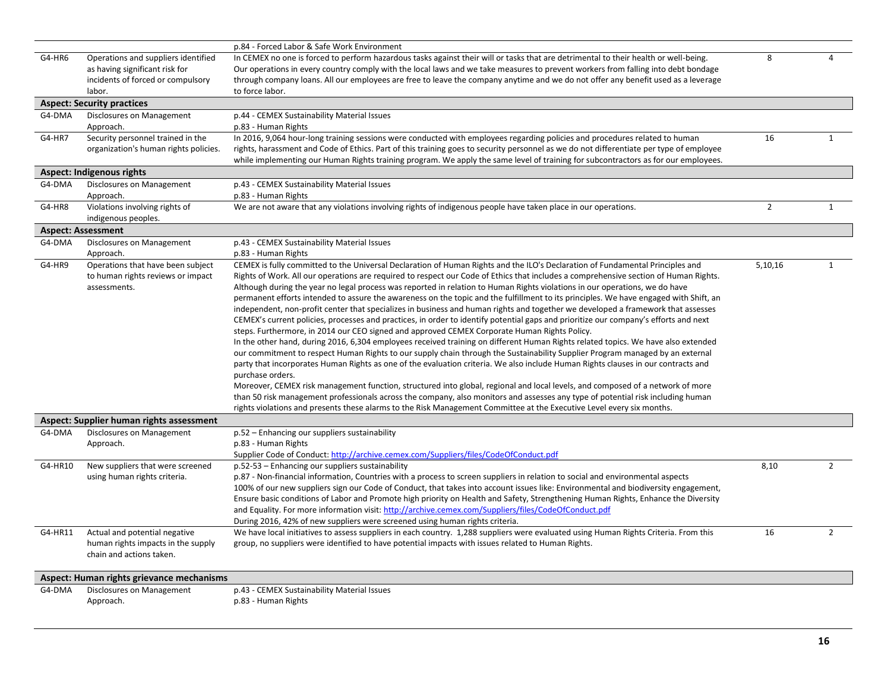|         |                                                                                                                      | p.84 - Forced Labor & Safe Work Environment                                                                                                                                                                                                                                                                                                                                                                                                                                                                                                                                                                                                                                                                                                                                                                                                                                                                                                                                                                                                                                                                                                                                                                                                                                                                                                                                                                                                                                                                                                                                                                                                                                                                                                            |                |                |
|---------|----------------------------------------------------------------------------------------------------------------------|--------------------------------------------------------------------------------------------------------------------------------------------------------------------------------------------------------------------------------------------------------------------------------------------------------------------------------------------------------------------------------------------------------------------------------------------------------------------------------------------------------------------------------------------------------------------------------------------------------------------------------------------------------------------------------------------------------------------------------------------------------------------------------------------------------------------------------------------------------------------------------------------------------------------------------------------------------------------------------------------------------------------------------------------------------------------------------------------------------------------------------------------------------------------------------------------------------------------------------------------------------------------------------------------------------------------------------------------------------------------------------------------------------------------------------------------------------------------------------------------------------------------------------------------------------------------------------------------------------------------------------------------------------------------------------------------------------------------------------------------------------|----------------|----------------|
| G4-HR6  | Operations and suppliers identified<br>as having significant risk for<br>incidents of forced or compulsory<br>labor. | In CEMEX no one is forced to perform hazardous tasks against their will or tasks that are detrimental to their health or well-being.<br>Our operations in every country comply with the local laws and we take measures to prevent workers from falling into debt bondage<br>through company loans. All our employees are free to leave the company anytime and we do not offer any benefit used as a leverage<br>to force labor.                                                                                                                                                                                                                                                                                                                                                                                                                                                                                                                                                                                                                                                                                                                                                                                                                                                                                                                                                                                                                                                                                                                                                                                                                                                                                                                      | 8              | 4              |
|         | <b>Aspect: Security practices</b>                                                                                    |                                                                                                                                                                                                                                                                                                                                                                                                                                                                                                                                                                                                                                                                                                                                                                                                                                                                                                                                                                                                                                                                                                                                                                                                                                                                                                                                                                                                                                                                                                                                                                                                                                                                                                                                                        |                |                |
| G4-DMA  | Disclosures on Management<br>Approach.                                                                               | p.44 - CEMEX Sustainability Material Issues<br>p.83 - Human Rights                                                                                                                                                                                                                                                                                                                                                                                                                                                                                                                                                                                                                                                                                                                                                                                                                                                                                                                                                                                                                                                                                                                                                                                                                                                                                                                                                                                                                                                                                                                                                                                                                                                                                     |                |                |
| G4-HR7  | Security personnel trained in the<br>organization's human rights policies.                                           | In 2016, 9,064 hour-long training sessions were conducted with employees regarding policies and procedures related to human<br>rights, harassment and Code of Ethics. Part of this training goes to security personnel as we do not differentiate per type of employee<br>while implementing our Human Rights training program. We apply the same level of training for subcontractors as for our employees.                                                                                                                                                                                                                                                                                                                                                                                                                                                                                                                                                                                                                                                                                                                                                                                                                                                                                                                                                                                                                                                                                                                                                                                                                                                                                                                                           | 16             | $\mathbf{1}$   |
|         | <b>Aspect: Indigenous rights</b>                                                                                     |                                                                                                                                                                                                                                                                                                                                                                                                                                                                                                                                                                                                                                                                                                                                                                                                                                                                                                                                                                                                                                                                                                                                                                                                                                                                                                                                                                                                                                                                                                                                                                                                                                                                                                                                                        |                |                |
| G4-DMA  | Disclosures on Management<br>Approach.                                                                               | p.43 - CEMEX Sustainability Material Issues<br>p.83 - Human Rights                                                                                                                                                                                                                                                                                                                                                                                                                                                                                                                                                                                                                                                                                                                                                                                                                                                                                                                                                                                                                                                                                                                                                                                                                                                                                                                                                                                                                                                                                                                                                                                                                                                                                     |                |                |
| G4-HR8  | Violations involving rights of<br>indigenous peoples.                                                                | We are not aware that any violations involving rights of indigenous people have taken place in our operations.                                                                                                                                                                                                                                                                                                                                                                                                                                                                                                                                                                                                                                                                                                                                                                                                                                                                                                                                                                                                                                                                                                                                                                                                                                                                                                                                                                                                                                                                                                                                                                                                                                         | $\overline{2}$ | $\mathbf{1}$   |
|         | <b>Aspect: Assessment</b>                                                                                            |                                                                                                                                                                                                                                                                                                                                                                                                                                                                                                                                                                                                                                                                                                                                                                                                                                                                                                                                                                                                                                                                                                                                                                                                                                                                                                                                                                                                                                                                                                                                                                                                                                                                                                                                                        |                |                |
| G4-DMA  | Disclosures on Management<br>Approach.                                                                               | p.43 - CEMEX Sustainability Material Issues<br>p.83 - Human Rights                                                                                                                                                                                                                                                                                                                                                                                                                                                                                                                                                                                                                                                                                                                                                                                                                                                                                                                                                                                                                                                                                                                                                                                                                                                                                                                                                                                                                                                                                                                                                                                                                                                                                     |                |                |
| G4-HR9  | Operations that have been subject<br>to human rights reviews or impact<br>assessments.                               | CEMEX is fully committed to the Universal Declaration of Human Rights and the ILO's Declaration of Fundamental Principles and<br>Rights of Work. All our operations are required to respect our Code of Ethics that includes a comprehensive section of Human Rights.<br>Although during the year no legal process was reported in relation to Human Rights violations in our operations, we do have<br>permanent efforts intended to assure the awareness on the topic and the fulfillment to its principles. We have engaged with Shift, an<br>independent, non-profit center that specializes in business and human rights and together we developed a framework that assesses<br>CEMEX's current policies, processes and practices, in order to identify potential gaps and prioritize our company's efforts and next<br>steps. Furthermore, in 2014 our CEO signed and approved CEMEX Corporate Human Rights Policy.<br>In the other hand, during 2016, 6,304 employees received training on different Human Rights related topics. We have also extended<br>our commitment to respect Human Rights to our supply chain through the Sustainability Supplier Program managed by an external<br>party that incorporates Human Rights as one of the evaluation criteria. We also include Human Rights clauses in our contracts and<br>purchase orders.<br>Moreover, CEMEX risk management function, structured into global, regional and local levels, and composed of a network of more<br>than 50 risk management professionals across the company, also monitors and assesses any type of potential risk including human<br>rights violations and presents these alarms to the Risk Management Committee at the Executive Level every six months. | 5,10,16        | $\mathbf{1}$   |
|         | Aspect: Supplier human rights assessment                                                                             |                                                                                                                                                                                                                                                                                                                                                                                                                                                                                                                                                                                                                                                                                                                                                                                                                                                                                                                                                                                                                                                                                                                                                                                                                                                                                                                                                                                                                                                                                                                                                                                                                                                                                                                                                        |                |                |
| G4-DMA  | Disclosures on Management<br>Approach.                                                                               | p.52 - Enhancing our suppliers sustainability<br>p.83 - Human Rights<br>Supplier Code of Conduct: http://archive.cemex.com/Suppliers/files/CodeOfConduct.pdf                                                                                                                                                                                                                                                                                                                                                                                                                                                                                                                                                                                                                                                                                                                                                                                                                                                                                                                                                                                                                                                                                                                                                                                                                                                                                                                                                                                                                                                                                                                                                                                           |                |                |
| G4-HR10 | New suppliers that were screened<br>using human rights criteria.                                                     | p.52-53 - Enhancing our suppliers sustainability<br>p.87 - Non-financial information, Countries with a process to screen suppliers in relation to social and environmental aspects<br>100% of our new suppliers sign our Code of Conduct, that takes into account issues like: Environmental and biodiversity engagement,<br>Ensure basic conditions of Labor and Promote high priority on Health and Safety, Strengthening Human Rights, Enhance the Diversity<br>and Equality. For more information visit: http://archive.cemex.com/Suppliers/files/CodeOfConduct.pdf<br>During 2016, 42% of new suppliers were screened using human rights criteria.                                                                                                                                                                                                                                                                                                                                                                                                                                                                                                                                                                                                                                                                                                                                                                                                                                                                                                                                                                                                                                                                                                | 8,10           | $\overline{2}$ |
| G4-HR11 | Actual and potential negative<br>human rights impacts in the supply<br>chain and actions taken.                      | We have local initiatives to assess suppliers in each country. 1,288 suppliers were evaluated using Human Rights Criteria. From this<br>group, no suppliers were identified to have potential impacts with issues related to Human Rights.                                                                                                                                                                                                                                                                                                                                                                                                                                                                                                                                                                                                                                                                                                                                                                                                                                                                                                                                                                                                                                                                                                                                                                                                                                                                                                                                                                                                                                                                                                             | 16             | $\overline{2}$ |
|         | Aspect: Human rights grievance mechanisms                                                                            |                                                                                                                                                                                                                                                                                                                                                                                                                                                                                                                                                                                                                                                                                                                                                                                                                                                                                                                                                                                                                                                                                                                                                                                                                                                                                                                                                                                                                                                                                                                                                                                                                                                                                                                                                        |                |                |
| G4-DMA  | Disclosures on Management<br>Approach.                                                                               | p.43 - CEMEX Sustainability Material Issues<br>p.83 - Human Rights                                                                                                                                                                                                                                                                                                                                                                                                                                                                                                                                                                                                                                                                                                                                                                                                                                                                                                                                                                                                                                                                                                                                                                                                                                                                                                                                                                                                                                                                                                                                                                                                                                                                                     |                |                |